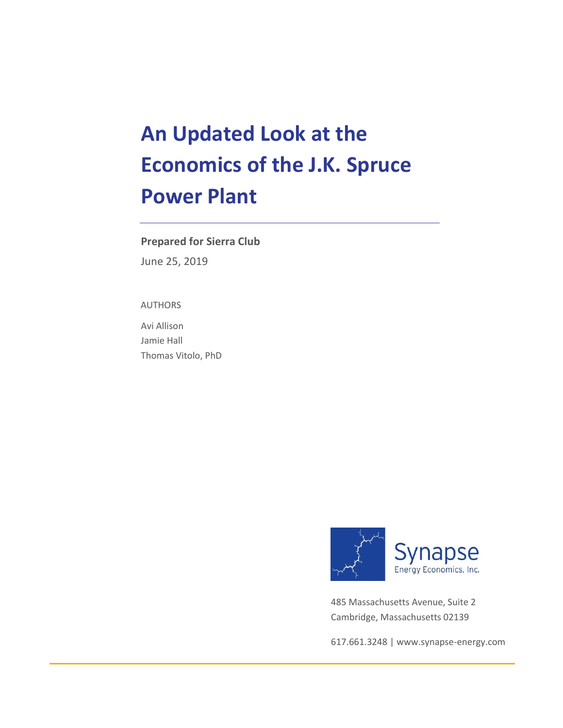# **An Updated Look at the Economics of the J.K. Spruce Power Plant**

### **Prepared for Sierra Club**

June 25, 2019

#### AUTHORS

Avi Allison Jamie Hall Thomas Vitolo, PhD



485 Massachusetts Avenue, Suite 2 Cambridge, Massachusetts 02139

617.661.3248 [| www.synapse-energy.com](http://www.synapse-energy.com/)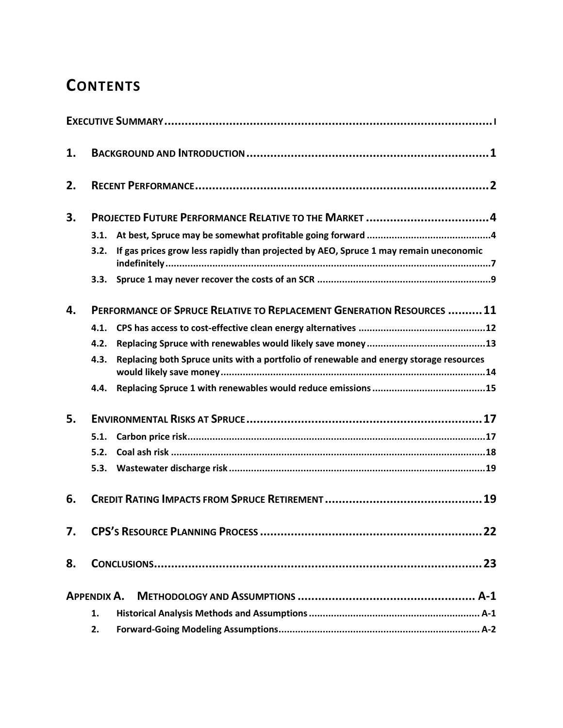## **CONTENTS**

| 1. |                                                                       |                                                                                        |  |  |  |
|----|-----------------------------------------------------------------------|----------------------------------------------------------------------------------------|--|--|--|
| 2. |                                                                       |                                                                                        |  |  |  |
| 3. | PROJECTED FUTURE PERFORMANCE RELATIVE TO THE MARKET 4                 |                                                                                        |  |  |  |
|    | 3.1.                                                                  |                                                                                        |  |  |  |
|    | 3.2.                                                                  | If gas prices grow less rapidly than projected by AEO, Spruce 1 may remain uneconomic  |  |  |  |
|    |                                                                       |                                                                                        |  |  |  |
| 4. | PERFORMANCE OF SPRUCE RELATIVE TO REPLACEMENT GENERATION RESOURCES 11 |                                                                                        |  |  |  |
|    | 4.1.                                                                  |                                                                                        |  |  |  |
|    | 4.2.                                                                  |                                                                                        |  |  |  |
|    | 4.3.                                                                  | Replacing both Spruce units with a portfolio of renewable and energy storage resources |  |  |  |
|    | 4.4.                                                                  |                                                                                        |  |  |  |
| 5. |                                                                       |                                                                                        |  |  |  |
|    | 5.1.                                                                  |                                                                                        |  |  |  |
|    | 5.2.                                                                  |                                                                                        |  |  |  |
|    | 5.3.                                                                  |                                                                                        |  |  |  |
| 6. |                                                                       | .19                                                                                    |  |  |  |
| 7. |                                                                       |                                                                                        |  |  |  |
| 8. |                                                                       |                                                                                        |  |  |  |
|    | <b>APPENDIX A.</b>                                                    |                                                                                        |  |  |  |
|    | 1.                                                                    |                                                                                        |  |  |  |
|    | 2.                                                                    |                                                                                        |  |  |  |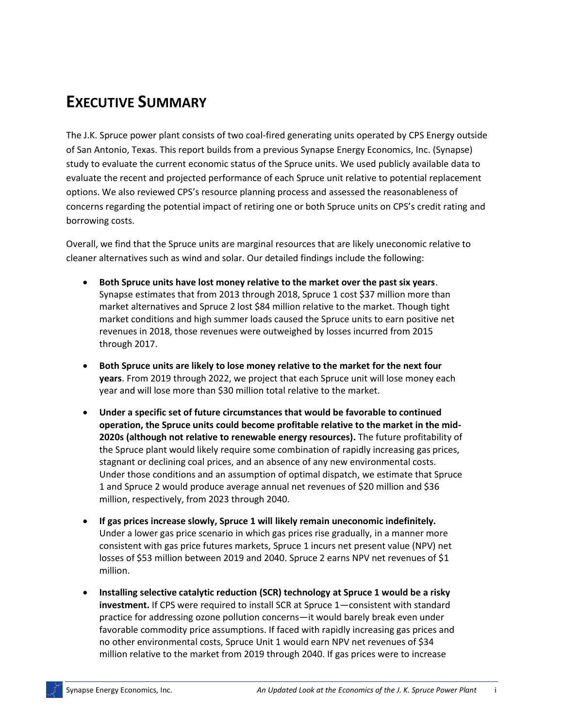## **EXECUTIVE SUMMARY**

The J.K. Spruce power plant consists of two coal-fired generating units operated by CPS Energy outside of San Antonio, Texas. This report builds from a previous Synapse Energy Economics, Inc. (Synapse) study to evaluate the current economic status of the Spruce units. We used publicly available data to evaluate the recent and projected performance of each Spruce unit relative to potential replacement options. We also reviewed CPS's resource planning process and assessed the reasonableness of concerns regarding the potential impact of retiring one or both Spruce units on CPS's credit rating and borrowing costs.

Overall, we find that the Spruce units are marginal resources that are likely uneconomic relative to cleaner alternatives such as wind and solar. Our detailed findings include the following:

- **Both Spruce units have lost money relative to the market over the past six years**. Synapse estimates that from 2013 through 2018, Spruce 1 cost \$37 million more than market alternatives and Spruce 2 lost \$84 million relative to the market. Though tight market conditions and high summer loads caused the Spruce units to earn positive net revenues in 2018, those revenues were outweighed by losses incurred from 2015 through 2017.
- **Both Spruce units are likely to lose money relative to the market for the next four years**. From 2019 through 2022, we project that each Spruce unit will lose money each year and will lose more than \$30 million total relative to the market.
- **Under a specific set of future circumstances that would be favorable to continued operation, the Spruce units could become profitable relative to the market in the mid-2020s (although not relative to renewable energy resources).** The future profitability of the Spruce plant would likely require some combination of rapidly increasing gas prices, stagnant or declining coal prices, and an absence of any new environmental costs. Under those conditions and an assumption of optimal dispatch, we estimate that Spruce 1 and Spruce 2 would produce average annual net revenues of \$20 million and \$36 million, respectively, from 2023 through 2040.
- **If gas prices increase slowly, Spruce 1 will likely remain uneconomic indefinitely.**  Under a lower gas price scenario in which gas prices rise gradually, in a manner more consistent with gas price futures markets, Spruce 1 incurs net present value (NPV) net losses of \$53 million between 2019 and 2040. Spruce 2 earns NPV net revenues of \$1 million.
- **Installing selective catalytic reduction (SCR) technology at Spruce 1 would be a risky investment.** If CPS were required to install SCR at Spruce 1—consistent with standard practice for addressing ozone pollution concerns—it would barely break even under favorable commodity price assumptions. If faced with rapidly increasing gas prices and no other environmental costs, Spruce Unit 1 would earn NPV net revenues of \$34 million relative to the market from 2019 through 2040. If gas prices were to increase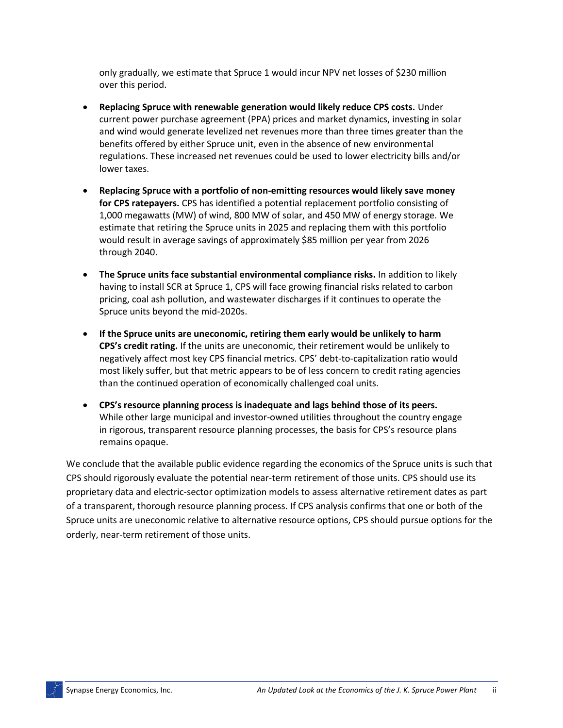only gradually, we estimate that Spruce 1 would incur NPV net losses of \$230 million over this period.

- **Replacing Spruce with renewable generation would likely reduce CPS costs.** Under current power purchase agreement (PPA) prices and market dynamics, investing in solar and wind would generate levelized net revenues more than three times greater than the benefits offered by either Spruce unit, even in the absence of new environmental regulations. These increased net revenues could be used to lower electricity bills and/or lower taxes.
- **Replacing Spruce with a portfolio of non-emitting resources would likely save money for CPS ratepayers.** CPS has identified a potential replacement portfolio consisting of 1,000 megawatts (MW) of wind, 800 MW of solar, and 450 MW of energy storage. We estimate that retiring the Spruce units in 2025 and replacing them with this portfolio would result in average savings of approximately \$85 million per year from 2026 through 2040.
- **The Spruce units face substantial environmental compliance risks.** In addition to likely having to install SCR at Spruce 1, CPS will face growing financial risks related to carbon pricing, coal ash pollution, and wastewater discharges if it continues to operate the Spruce units beyond the mid-2020s.
- **If the Spruce units are uneconomic, retiring them early would be unlikely to harm CPS's credit rating.** If the units are uneconomic, their retirement would be unlikely to negatively affect most key CPS financial metrics. CPS' debt-to-capitalization ratio would most likely suffer, but that metric appears to be of less concern to credit rating agencies than the continued operation of economically challenged coal units.
- **CPS's resource planning process is inadequate and lags behind those of its peers.**  While other large municipal and investor-owned utilities throughout the country engage in rigorous, transparent resource planning processes, the basis for CPS's resource plans remains opaque.

We conclude that the available public evidence regarding the economics of the Spruce units is such that CPS should rigorously evaluate the potential near-term retirement of those units. CPS should use its proprietary data and electric-sector optimization models to assess alternative retirement dates as part of a transparent, thorough resource planning process. If CPS analysis confirms that one or both of the Spruce units are uneconomic relative to alternative resource options, CPS should pursue options for the orderly, near-term retirement of those units.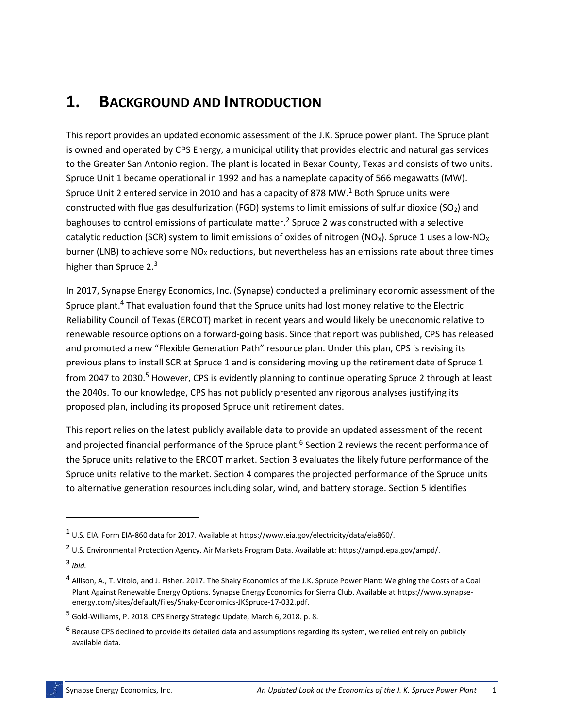## **1. BACKGROUND AND INTRODUCTION**

This report provides an updated economic assessment of the J.K. Spruce power plant. The Spruce plant is owned and operated by CPS Energy, a municipal utility that provides electric and natural gas services to the Greater San Antonio region. The plant is located in Bexar County, Texas and consists of two units. Spruce Unit 1 became operational in 1992 and has a nameplate capacity of 566 megawatts (MW). Spruce Unit 2 entered service in 2010 and has a capacity of 878 MW.<sup>1</sup> Both Spruce units were constructed with flue gas desulfurization (FGD) systems to limit emissions of sulfur dioxide (SO<sub>2</sub>) and baghouses to control emissions of particulate matter.<sup>2</sup> Spruce 2 was constructed with a selective catalytic reduction (SCR) system to limit emissions of oxides of nitrogen (NO<sub>x</sub>). Spruce 1 uses a low-NO<sub>x</sub> burner (LNB) to achieve some  $NO<sub>X</sub>$  reductions, but nevertheless has an emissions rate about three times higher than Spruce 2.<sup>3</sup>

In 2017, Synapse Energy Economics, Inc. (Synapse) conducted a preliminary economic assessment of the Spruce plant.<sup>4</sup> That evaluation found that the Spruce units had lost money relative to the Electric Reliability Council of Texas (ERCOT) market in recent years and would likely be uneconomic relative to renewable resource options on a forward-going basis. Since that report was published, CPS has released and promoted a new "Flexible Generation Path" resource plan. Under this plan, CPS is revising its previous plans to install SCR at Spruce 1 and is considering moving up the retirement date of Spruce 1 from 2047 to 2030.<sup>5</sup> However, CPS is evidently planning to continue operating Spruce 2 through at least the 2040s. To our knowledge, CPS has not publicly presented any rigorous analyses justifying its proposed plan, including its proposed Spruce unit retirement dates.

This report relies on the latest publicly available data to provide an updated assessment of the recent and projected financial performance of the Spruce plant.<sup>6</sup> Sectio[n 2](#page-5-0) reviews the recent performance of the Spruce units relative to the ERCOT market. Section [3](#page-7-0) evaluates the likely future performance of the Spruce units relative to the market. Section [4](#page-14-0) compares the projected performance of the Spruce units to alternative generation resources including solar, wind, and battery storage. Section [5](#page-20-0) identifies

 $\overline{a}$ 

<sup>1</sup> U.S. EIA. Form EIA-860 data for 2017. Available a[t https://www.eia.gov/electricity/data/eia860/.](https://www.eia.gov/electricity/data/eia860/)

<sup>2</sup> U.S. Environmental Protection Agency. Air Markets Program Data. Available at[: https://ampd.epa.gov/ampd/.](https://ampd.epa.gov/ampd/)

<sup>3</sup> *Ibid.*

<sup>&</sup>lt;sup>4</sup> Allison, A., T. Vitolo, and J. Fisher. 2017. The Shaky Economics of the J.K. Spruce Power Plant: Weighing the Costs of a Coal Plant Against Renewable Energy Options. Synapse Energy Economics for Sierra Club. Available a[t https://www.synapse](https://www.synapse-energy.com/sites/default/files/Shaky-Economics-JKSpruce-17-032.pdf)[energy.com/sites/default/files/Shaky-Economics-JKSpruce-17-032.pdf.](https://www.synapse-energy.com/sites/default/files/Shaky-Economics-JKSpruce-17-032.pdf) 

<sup>5</sup> Gold-Williams, P. 2018. CPS Energy Strategic Update, March 6, 2018. p. 8.

<sup>&</sup>lt;sup>6</sup> Because CPS declined to provide its detailed data and assumptions regarding its system, we relied entirely on publicly available data.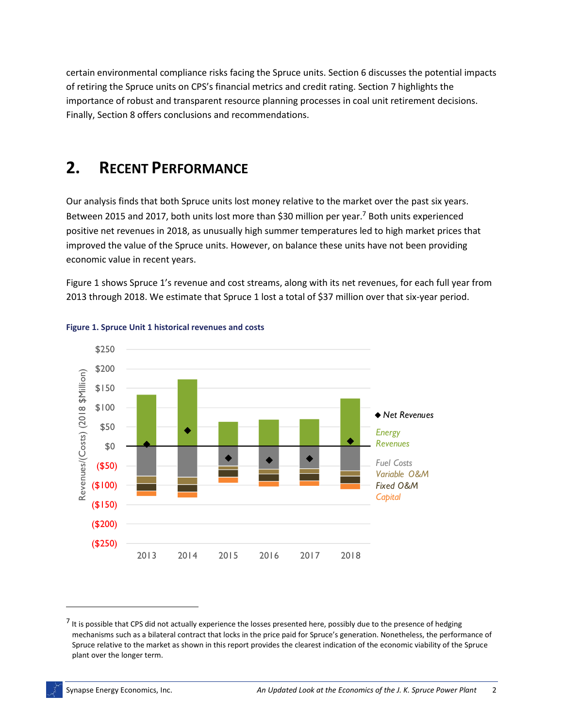certain environmental compliance risks facing the Spruce units. Section [6](#page-22-0) discusses the potential impacts of retiring the Spruce units on CPS's financial metrics and credit rating. Section [7](#page-25-0) highlights the importance of robust and transparent resource planning processes in coal unit retirement decisions. Finally, Sectio[n 8](#page-26-0) offers conclusions and recommendations.

## <span id="page-5-0"></span>**2. RECENT PERFORMANCE**

Our analysis finds that both Spruce units lost money relative to the market over the past six years. Between 2015 and 2017, both units lost more than \$30 million per year.<sup>7</sup> Both units experienced positive net revenues in 2018, as unusually high summer temperatures led to high market prices that improved the value of the Spruce units. However, on balance these units have not been providing economic value in recent years.

[Figure 1](#page-5-1) shows Spruce 1's revenue and cost streams, along with its net revenues, for each full year from 2013 through 2018. We estimate that Spruce 1 lost a total of \$37 million over that six-year period.



#### <span id="page-5-1"></span>**Figure 1. Spruce Unit 1 historical revenues and costs**

 $\overline{a}$ 

 $<sup>7</sup>$  It is possible that CPS did not actually experience the losses presented here, possibly due to the presence of hedging</sup> mechanisms such as a bilateral contract that locks in the price paid for Spruce's generation. Nonetheless, the performance of Spruce relative to the market as shown in this report provides the clearest indication of the economic viability of the Spruce plant over the longer term.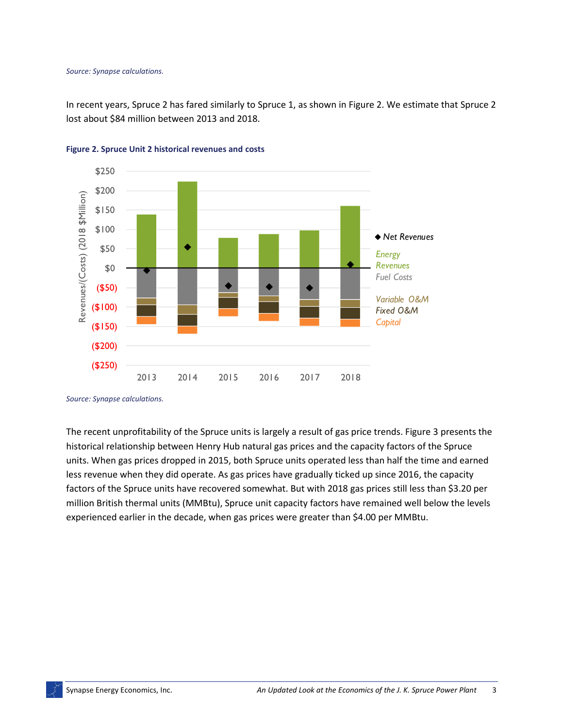#### *Source: Synapse calculations.*

In recent years, Spruce 2 has fared similarly to Spruce 1, as shown in [Figure 2.](#page-6-0) We estimate that Spruce 2 lost about \$84 million between 2013 and 2018.



<span id="page-6-0"></span>

The recent unprofitability of the Spruce units is largely a result of gas price trends[. Figure 3](#page-7-1) presents the historical relationship between Henry Hub natural gas prices and the capacity factors of the Spruce units. When gas prices dropped in 2015, both Spruce units operated less than half the time and earned less revenue when they did operate. As gas prices have gradually ticked up since 2016, the capacity factors of the Spruce units have recovered somewhat. But with 2018 gas prices still less than \$3.20 per million British thermal units (MMBtu), Spruce unit capacity factors have remained well below the levels experienced earlier in the decade, when gas prices were greater than \$4.00 per MMBtu.

*Source: Synapse calculations.*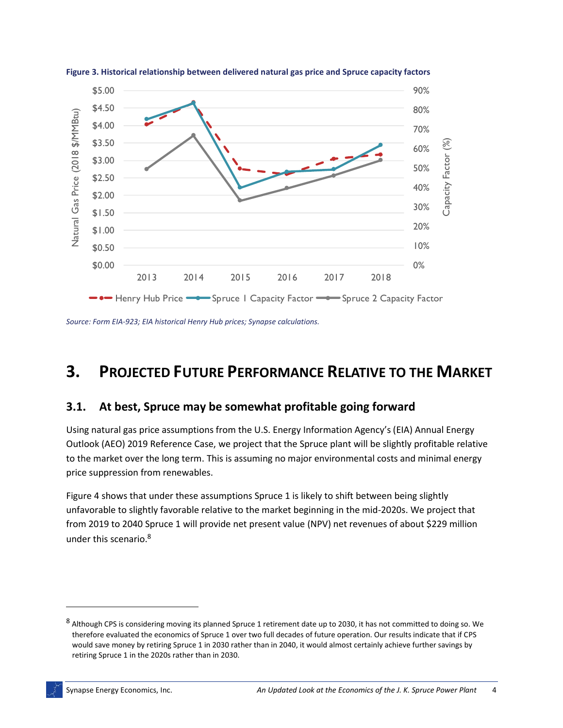

<span id="page-7-1"></span>**Figure 3. Historical relationship between delivered natural gas price and Spruce capacity factors**

*Source: Form EIA-923; EIA historical Henry Hub prices; Synapse calculations.*

## <span id="page-7-0"></span>**3. PROJECTED FUTURE PERFORMANCE RELATIVE TO THE MARKET**

#### **3.1. At best, Spruce may be somewhat profitable going forward**

Using natural gas price assumptions from the U.S. Energy Information Agency's (EIA) Annual Energy Outlook (AEO) 2019 Reference Case, we project that the Spruce plant will be slightly profitable relative to the market over the long term. This is assuming no major environmental costs and minimal energy price suppression from renewables.

[Figure 4](#page-8-0) shows that under these assumptions Spruce 1 is likely to shift between being slightly unfavorable to slightly favorable relative to the market beginning in the mid-2020s. We project that from 2019 to 2040 Spruce 1 will provide net present value (NPV) net revenues of about \$229 million under this scenario. 8

 $\overline{a}$ 

<sup>&</sup>lt;sup>8</sup> Although CPS is considering moving its planned Spruce 1 retirement date up to 2030, it has not committed to doing so. We therefore evaluated the economics of Spruce 1 over two full decades of future operation. Our results indicate that if CPS would save money by retiring Spruce 1 in 2030 rather than in 2040, it would almost certainly achieve further savings by retiring Spruce 1 in the 2020s rather than in 2030.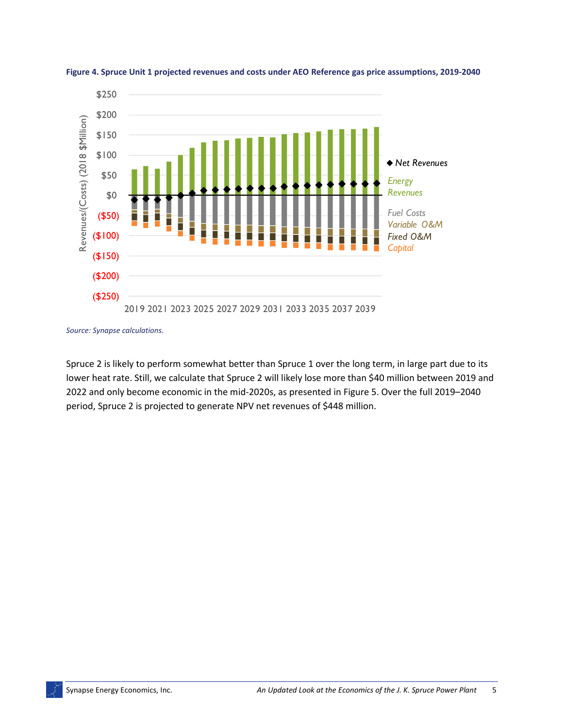

<span id="page-8-0"></span>

*Source: Synapse calculations.*

Spruce 2 is likely to perform somewhat better than Spruce 1 over the long term, in large part due to its lower heat rate. Still, we calculate that Spruce 2 will likely lose more than \$40 million between 2019 and 2022 and only become economic in the mid-2020s, as presented i[n Figure 5.](#page-9-0) Over the full 2019–2040 period, Spruce 2 is projected to generate NPV net revenues of \$448 million.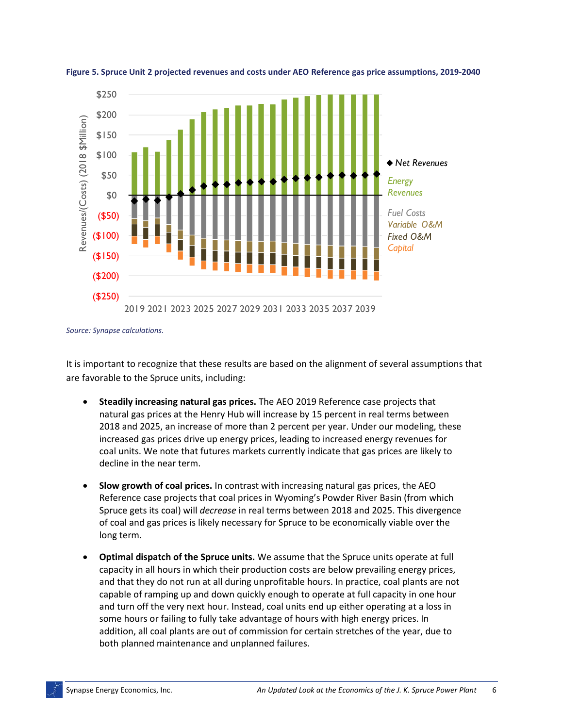

<span id="page-9-0"></span>**Figure 5. Spruce Unit 2 projected revenues and costs under AEO Reference gas price assumptions, 2019-2040**

*Source: Synapse calculations.*

It is important to recognize that these results are based on the alignment of several assumptions that are favorable to the Spruce units, including:

- **Steadily increasing natural gas prices.** The AEO 2019 Reference case projects that natural gas prices at the Henry Hub will increase by 15 percent in real terms between 2018 and 2025, an increase of more than 2 percent per year. Under our modeling, these increased gas prices drive up energy prices, leading to increased energy revenues for coal units. We note that futures markets currently indicate that gas prices are likely to decline in the near term.
- **Slow growth of coal prices.** In contrast with increasing natural gas prices, the AEO Reference case projects that coal prices in Wyoming's Powder River Basin (from which Spruce gets its coal) will *decrease* in real terms between 2018 and 2025. This divergence of coal and gas prices is likely necessary for Spruce to be economically viable over the long term.
- **Optimal dispatch of the Spruce units.** We assume that the Spruce units operate at full capacity in all hours in which their production costs are below prevailing energy prices, and that they do not run at all during unprofitable hours. In practice, coal plants are not capable of ramping up and down quickly enough to operate at full capacity in one hour and turn off the very next hour. Instead, coal units end up either operating at a loss in some hours or failing to fully take advantage of hours with high energy prices. In addition, all coal plants are out of commission for certain stretches of the year, due to both planned maintenance and unplanned failures.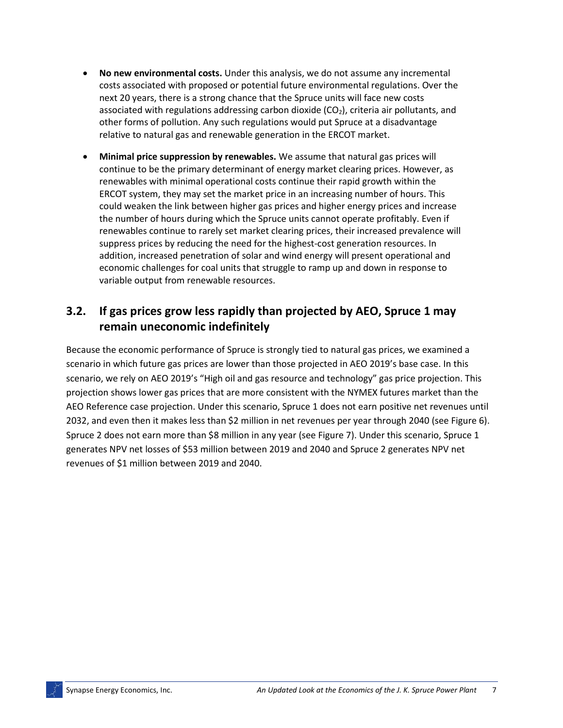- **No new environmental costs.** Under this analysis, we do not assume any incremental costs associated with proposed or potential future environmental regulations. Over the next 20 years, there is a strong chance that the Spruce units will face new costs associated with regulations addressing carbon dioxide  $(CO<sub>2</sub>)$ , criteria air pollutants, and other forms of pollution. Any such regulations would put Spruce at a disadvantage relative to natural gas and renewable generation in the ERCOT market.
- **Minimal price suppression by renewables.** We assume that natural gas prices will continue to be the primary determinant of energy market clearing prices. However, as renewables with minimal operational costs continue their rapid growth within the ERCOT system, they may set the market price in an increasing number of hours. This could weaken the link between higher gas prices and higher energy prices and increase the number of hours during which the Spruce units cannot operate profitably. Even if renewables continue to rarely set market clearing prices, their increased prevalence will suppress prices by reducing the need for the highest-cost generation resources. In addition, increased penetration of solar and wind energy will present operational and economic challenges for coal units that struggle to ramp up and down in response to variable output from renewable resources.

## **3.2. If gas prices grow less rapidly than projected by AEO, Spruce 1 may remain uneconomic indefinitely**

Because the economic performance of Spruce is strongly tied to natural gas prices, we examined a scenario in which future gas prices are lower than those projected in AEO 2019's base case. In this scenario, we rely on AEO 2019's "High oil and gas resource and technology" gas price projection. This projection shows lower gas prices that are more consistent with the NYMEX futures market than the AEO Reference case projection. Under this scenario, Spruce 1 does not earn positive net revenues until 2032, and even then it makes less than \$2 million in net revenues per year through 2040 (se[e Figure 6\)](#page-11-0). Spruce 2 does not earn more than \$8 million in any year (see [Figure 7\)](#page-11-1). Under this scenario, Spruce 1 generates NPV net losses of \$53 million between 2019 and 2040 and Spruce 2 generates NPV net revenues of \$1 million between 2019 and 2040.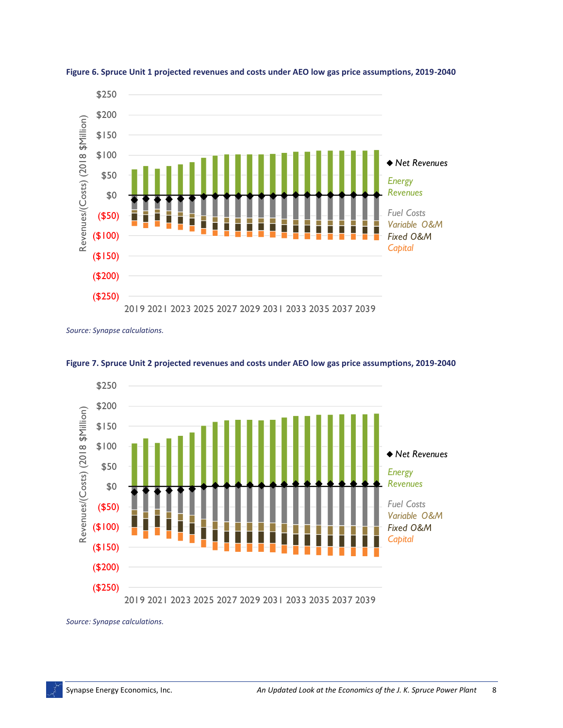

<span id="page-11-0"></span>

*Source: Synapse calculations.*



<span id="page-11-1"></span>**Figure 7. Spruce Unit 2 projected revenues and costs under AEO low gas price assumptions, 2019-2040**

*Source: Synapse calculations.*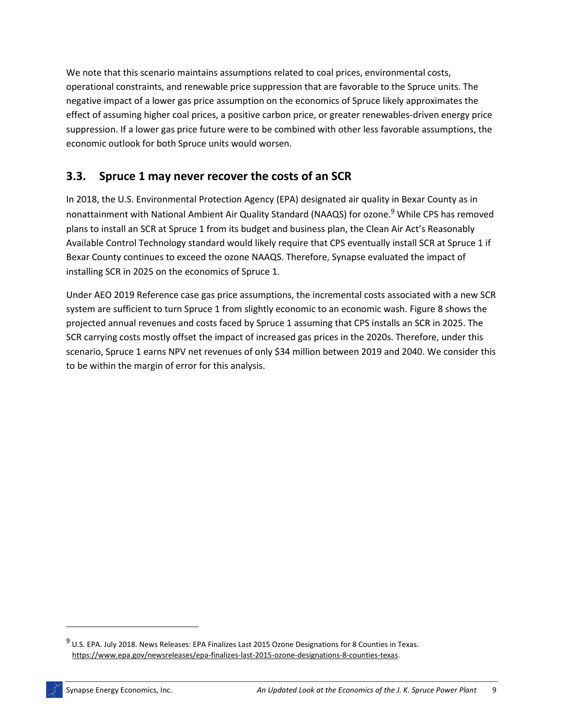We note that this scenario maintains assumptions related to coal prices, environmental costs, operational constraints, and renewable price suppression that are favorable to the Spruce units. The negative impact of a lower gas price assumption on the economics of Spruce likely approximates the effect of assuming higher coal prices, a positive carbon price, or greater renewables-driven energy price suppression. If a lower gas price future were to be combined with other less favorable assumptions, the economic outlook for both Spruce units would worsen.

### **3.3. Spruce 1 may never recover the costs of an SCR**

In 2018, the U.S. Environmental Protection Agency (EPA) designated air quality in Bexar County as in nonattainment with National Ambient Air Quality Standard (NAAQS) for ozone.<sup>9</sup> While CPS has removed plans to install an SCR at Spruce 1 from its budget and business plan, the Clean Air Act's Reasonably Available Control Technology standard would likely require that CPS eventually install SCR at Spruce 1 if Bexar County continues to exceed the ozone NAAQS. Therefore, Synapse evaluated the impact of installing SCR in 2025 on the economics of Spruce 1.

Under AEO 2019 Reference case gas price assumptions, the incremental costs associated with a new SCR system are sufficient to turn Spruce 1 from slightly economic to an economic wash. [Figure 8](#page-13-0) shows the projected annual revenues and costs faced by Spruce 1 assuming that CPS installs an SCR in 2025. The SCR carrying costs mostly offset the impact of increased gas prices in the 2020s. Therefore, under this scenario, Spruce 1 earns NPV net revenues of only \$34 million between 2019 and 2040. We consider this to be within the margin of error for this analysis.

<sup>&</sup>lt;sup>9</sup> U.S. EPA. July 2018. News Releases: EPA Finalizes Last 2015 Ozone Designations for 8 Counties in Texas. [https://www.epa.gov/newsreleases/epa-finalizes-last-2015-ozone-designations-8-counties-texas.](https://www.epa.gov/newsreleases/epa-finalizes-last-2015-ozone-designations-8-counties-texas)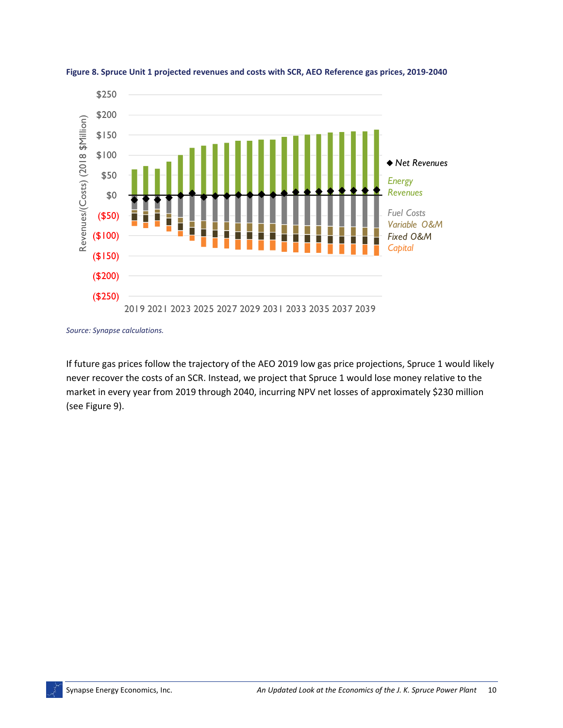

<span id="page-13-0"></span>**Figure 8. Spruce Unit 1 projected revenues and costs with SCR, AEO Reference gas prices, 2019-2040**

*Source: Synapse calculations.*

If future gas prices follow the trajectory of the AEO 2019 low gas price projections, Spruce 1 would likely never recover the costs of an SCR. Instead, we project that Spruce 1 would lose money relative to the market in every year from 2019 through 2040, incurring NPV net losses of approximately \$230 million (see [Figure 9\)](#page-14-1).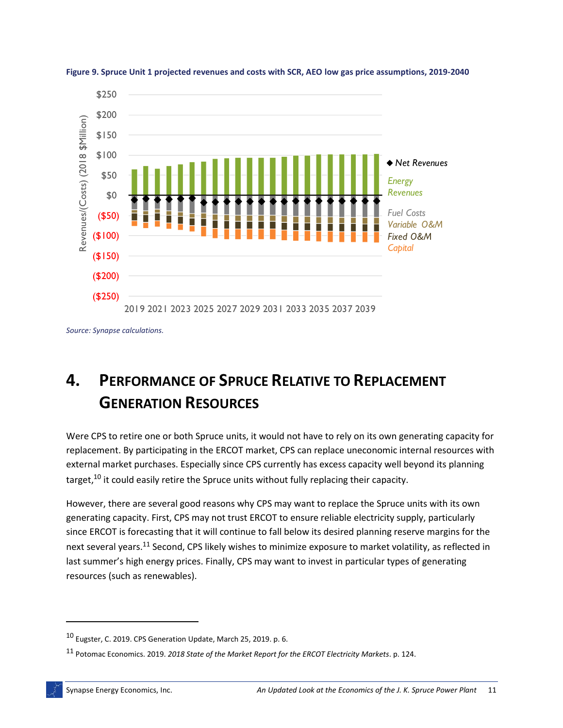

<span id="page-14-1"></span>

*Source: Synapse calculations.*

## <span id="page-14-0"></span>**4. PERFORMANCE OF SPRUCE RELATIVE TO REPLACEMENT GENERATION RESOURCES**

Were CPS to retire one or both Spruce units, it would not have to rely on its own generating capacity for replacement. By participating in the ERCOT market, CPS can replace uneconomic internal resources with external market purchases. Especially since CPS currently has excess capacity well beyond its planning target,<sup>10</sup> it could easily retire the Spruce units without fully replacing their capacity.

However, there are several good reasons why CPS may want to replace the Spruce units with its own generating capacity. First, CPS may not trust ERCOT to ensure reliable electricity supply, particularly since ERCOT is forecasting that it will continue to fall below its desired planning reserve margins for the next several years.<sup>11</sup> Second, CPS likely wishes to minimize exposure to market volatility, as reflected in last summer's high energy prices. Finally, CPS may want to invest in particular types of generating resources (such as renewables).

 $10$  Eugster, C. 2019. CPS Generation Update. March 25, 2019. p. 6.

<sup>11</sup> Potomac Economics. 2019. *2018 State of the Market Report for the ERCOT Electricity Markets*. p. 124.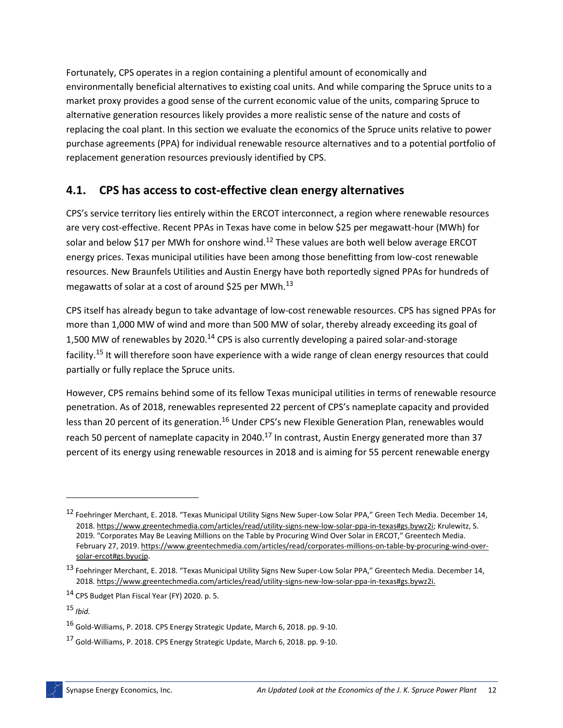Fortunately, CPS operates in a region containing a plentiful amount of economically and environmentally beneficial alternatives to existing coal units. And while comparing the Spruce units to a market proxy provides a good sense of the current economic value of the units, comparing Spruce to alternative generation resources likely provides a more realistic sense of the nature and costs of replacing the coal plant. In this section we evaluate the economics of the Spruce units relative to power purchase agreements (PPA) for individual renewable resource alternatives and to a potential portfolio of replacement generation resources previously identified by CPS.

### **4.1. CPS has access to cost-effective clean energy alternatives**

CPS's service territory lies entirely within the ERCOT interconnect, a region where renewable resources are very cost-effective. Recent PPAs in Texas have come in below \$25 per megawatt-hour (MWh) for solar and below \$17 per MWh for onshore wind.<sup>12</sup> These values are both well below average ERCOT energy prices. Texas municipal utilities have been among those benefitting from low-cost renewable resources. New Braunfels Utilities and Austin Energy have both reportedly signed PPAs for hundreds of megawatts of solar at a cost of around \$25 per MWh. $^{13}$ 

CPS itself has already begun to take advantage of low-cost renewable resources. CPS has signed PPAs for more than 1,000 MW of wind and more than 500 MW of solar, thereby already exceeding its goal of 1,500 MW of renewables by 2020.<sup>14</sup> CPS is also currently developing a paired solar-and-storage facility.<sup>15</sup> It will therefore soon have experience with a wide range of clean energy resources that could partially or fully replace the Spruce units.

However, CPS remains behind some of its fellow Texas municipal utilities in terms of renewable resource penetration. As of 2018, renewables represented 22 percent of CPS's nameplate capacity and provided less than 20 percent of its generation.<sup>16</sup> Under CPS's new Flexible Generation Plan, renewables would reach 50 percent of nameplate capacity in 2040.<sup>17</sup> In contrast, Austin Energy generated more than 37 percent of its energy using renewable resources in 2018 and is aiming for 55 percent renewable energy

<sup>12</sup> Foehringer Merchant, E. 2018. "Texas Municipal Utility Signs New Super-Low Solar PPA," Green Tech Media. December 14, 2018[. https://www.greentechmedia.com/articles/read/utility-signs-new-low-solar-ppa-in-texas#gs.bywz2i;](https://www.greentechmedia.com/articles/read/utility-signs-new-low-solar-ppa-in-texas#gs.bywz2i) Krulewitz, S. 2019. "Corporates May Be Leaving Millions on the Table by Procuring Wind Over Solar in ERCOT," Greentech Media. February 27, 2019[. https://www.greentechmedia.com/articles/read/corporates-millions-on-table-by-procuring-wind-over](https://www.greentechmedia.com/articles/read/corporates-millions-on-table-by-procuring-wind-over-solar-ercot#gs.byucjp)[solar-ercot#gs.byucjp.](https://www.greentechmedia.com/articles/read/corporates-millions-on-table-by-procuring-wind-over-solar-ercot#gs.byucjp)

<sup>13</sup> Foehringer Merchant, E. 2018. "Texas Municipal Utility Signs New Super-Low Solar PPA," Greentech Media. December 14, 2018[. https://www.greentechmedia.com/articles/read/utility-signs-new-low-solar-ppa-in-texas#gs.bywz2i.](https://www.greentechmedia.com/articles/read/utility-signs-new-low-solar-ppa-in-texas#gs.bywz2i)

<sup>14</sup> CPS Budget Plan Fiscal Year (FY) 2020. p. 5.

<sup>15</sup> *Ibid.*

<sup>16</sup> Gold-Williams, P. 2018. CPS Energy Strategic Update, March 6, 2018. pp. 9-10.

<sup>17</sup> Gold-Williams, P. 2018. CPS Energy Strategic Update, March 6, 2018. pp. 9-10.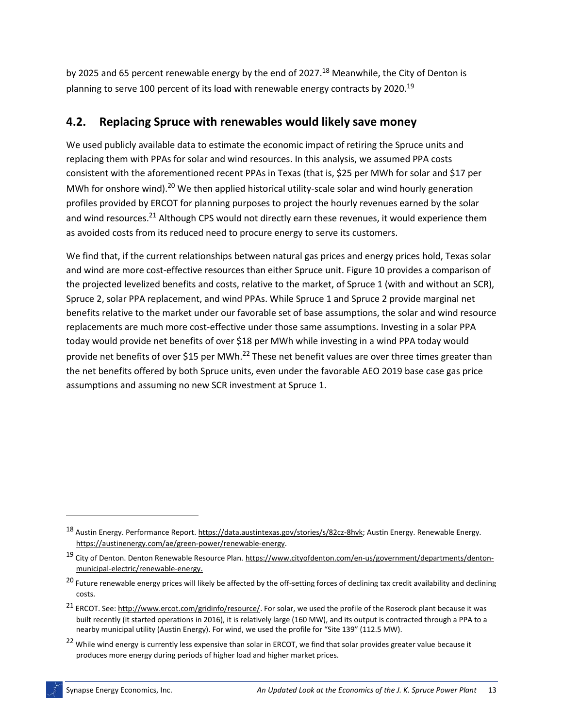by 2025 and 65 percent renewable energy by the end of 2027.<sup>18</sup> Meanwhile, the City of Denton is planning to serve 100 percent of its load with renewable energy contracts by 2020.<sup>19</sup>

### **4.2. Replacing Spruce with renewables would likely save money**

We used publicly available data to estimate the economic impact of retiring the Spruce units and replacing them with PPAs for solar and wind resources. In this analysis, we assumed PPA costs consistent with the aforementioned recent PPAs in Texas (that is, \$25 per MWh for solar and \$17 per MWh for onshore wind).<sup>20</sup> We then applied historical utility-scale solar and wind hourly generation profiles provided by ERCOT for planning purposes to project the hourly revenues earned by the solar and wind resources.<sup>21</sup> Although CPS would not directly earn these revenues, it would experience them as avoided costs from its reduced need to procure energy to serve its customers.

We find that, if the current relationships between natural gas prices and energy prices hold, Texas solar and wind are more cost-effective resources than either Spruce unit[. Figure 10](#page-17-0) provides a comparison of the projected levelized benefits and costs, relative to the market, of Spruce 1 (with and without an SCR), Spruce 2, solar PPA replacement, and wind PPAs. While Spruce 1 and Spruce 2 provide marginal net benefits relative to the market under our favorable set of base assumptions, the solar and wind resource replacements are much more cost-effective under those same assumptions. Investing in a solar PPA today would provide net benefits of over \$18 per MWh while investing in a wind PPA today would provide net benefits of over \$15 per MWh.<sup>22</sup> These net benefit values are over three times greater than the net benefits offered by both Spruce units, even under the favorable AEO 2019 base case gas price assumptions and assuming no new SCR investment at Spruce 1.

<sup>22</sup> While wind energy is currently less expensive than solar in ERCOT, we find that solar provides greater value because it produces more energy during periods of higher load and higher market prices.

l

<sup>18</sup> Austin Energy. Performance Report[. https://data.austintexas.gov/stories/s/82cz-8hvk;](https://data.austintexas.gov/stories/s/82cz-8hvk) Austin Energy. Renewable Energy. [https://austinenergy.com/ae/green-power/renewable-energy.](https://austinenergy.com/ae/green-power/renewable-energy)

<sup>&</sup>lt;sup>19</sup> City of Denton. Denton Renewable Resource Plan. [https://www.cityofdenton.com/en-us/government/departments/denton](https://www.cityofdenton.com/en-us/government/departments/denton-municipal-electric/renewable-energy)[municipal-electric/renewable-energy.](https://www.cityofdenton.com/en-us/government/departments/denton-municipal-electric/renewable-energy)

<sup>&</sup>lt;sup>20</sup> Future renewable energy prices will likely be affected by the off-setting forces of declining tax credit availability and declining costs.

<sup>&</sup>lt;sup>21</sup> ERCOT. See[: http://www.ercot.com/gridinfo/resource/.](http://www.ercot.com/gridinfo/resource/) For solar, we used the profile of the Roserock plant because it was built recently (it started operations in 2016), it is relatively large (160 MW), and its output is contracted through a PPA to a nearby municipal utility (Austin Energy). For wind, we used the profile for "Site 139" (112.5 MW).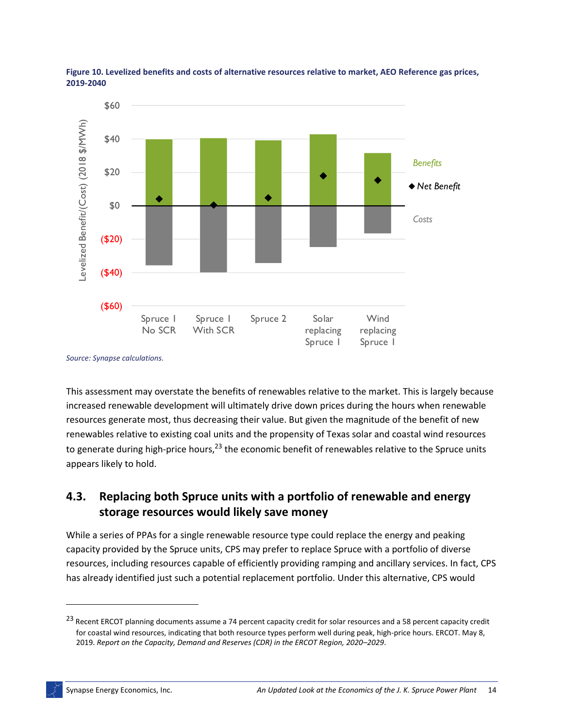

<span id="page-17-0"></span>

This assessment may overstate the benefits of renewables relative to the market. This is largely because increased renewable development will ultimately drive down prices during the hours when renewable resources generate most, thus decreasing their value. But given the magnitude of the benefit of new renewables relative to existing coal units and the propensity of Texas solar and coastal wind resources to generate during high-price hours,<sup>23</sup> the economic benefit of renewables relative to the Spruce units appears likely to hold.

## **4.3. Replacing both Spruce units with a portfolio of renewable and energy storage resources would likely save money**

While a series of PPAs for a single renewable resource type could replace the energy and peaking capacity provided by the Spruce units, CPS may prefer to replace Spruce with a portfolio of diverse resources, including resources capable of efficiently providing ramping and ancillary services. In fact, CPS has already identified just such a potential replacement portfolio. Under this alternative, CPS would

*Source: Synapse calculations.*

<sup>&</sup>lt;sup>23</sup> Recent ERCOT planning documents assume a 74 percent capacity credit for solar resources and a 58 percent capacity credit for coastal wind resources, indicating that both resource types perform well during peak, high-price hours. ERCOT. May 8, 2019. *Report on the Capacity, Demand and Reserves (CDR) in the ERCOT Region, 2020–2029*.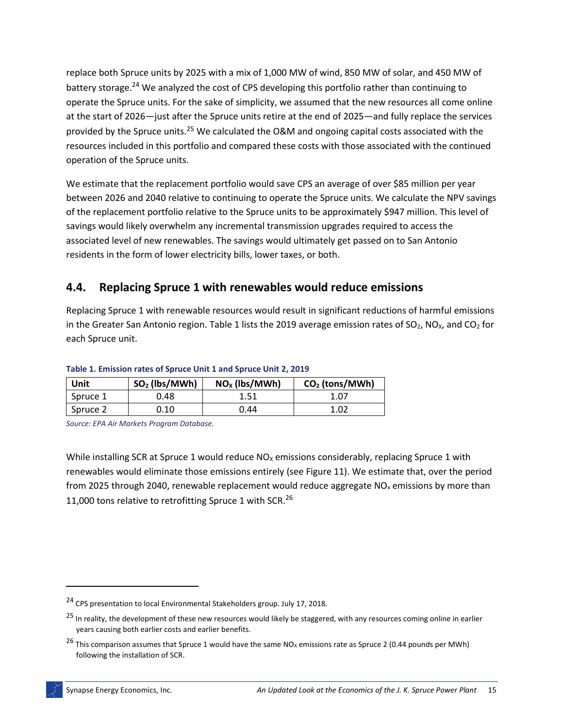replace both Spruce units by 2025 with a mix of 1,000 MW of wind, 850 MW of solar, and 450 MW of battery storage.<sup>24</sup> We analyzed the cost of CPS developing this portfolio rather than continuing to operate the Spruce units. For the sake of simplicity, we assumed that the new resources all come online at the start of 2026—just after the Spruce units retire at the end of 2025—and fully replace the services provided by the Spruce units.<sup>25</sup> We calculated the O&M and ongoing capital costs associated with the resources included in this portfolio and compared these costs with those associated with the continued operation of the Spruce units.

We estimate that the replacement portfolio would save CPS an average of over \$85 million per year between 2026 and 2040 relative to continuing to operate the Spruce units. We calculate the NPV savings of the replacement portfolio relative to the Spruce units to be approximately \$947 million. This level of savings would likely overwhelm any incremental transmission upgrades required to access the associated level of new renewables. The savings would ultimately get passed on to San Antonio residents in the form of lower electricity bills, lower taxes, or both.

### **4.4. Replacing Spruce 1 with renewables would reduce emissions**

Replacing Spruce 1 with renewable resources would result in significant reductions of harmful emissions in the Greater San Antonio region. [Table 1](#page-18-0) lists the 2019 average emission rates of SO<sub>2</sub>, NO<sub>x</sub>, and CO<sub>2</sub> for each Spruce unit.

| Unit     | $SO2$ (lbs/MWh) | $NOx$ (lbs/MWh) | $CO2$ (tons/MWh) |
|----------|-----------------|-----------------|------------------|
| Spruce 1 | 0.48            | 1.51            | 1.07             |
| Spruce 2 | 0.10            | 0.44            | 1.02             |

#### <span id="page-18-0"></span>**Table 1. Emission rates of Spruce Unit 1 and Spruce Unit 2, 2019**

*Source: EPA Air Markets Program Database.*

While installing SCR at Spruce 1 would reduce  $NO<sub>X</sub>$  emissions considerably, replacing Spruce 1 with renewables would eliminate those emissions entirely (se[e Figure 11\)](#page-19-0). We estimate that, over the period from 2025 through 2040, renewable replacement would reduce aggregate  $NO<sub>x</sub>$  emissions by more than 11,000 tons relative to retrofitting Spruce 1 with SCR.<sup>26</sup>

<sup>24</sup> CPS presentation to local Environmental Stakeholders group. July 17, 2018.

<sup>&</sup>lt;sup>25</sup> In reality, the development of these new resources would likely be staggered, with any resources coming online in earlier years causing both earlier costs and earlier benefits.

<sup>&</sup>lt;sup>26</sup> This comparison assumes that Spruce 1 would have the same NO<sub>X</sub> emissions rate as Spruce 2 (0.44 pounds per MWh) following the installation of SCR.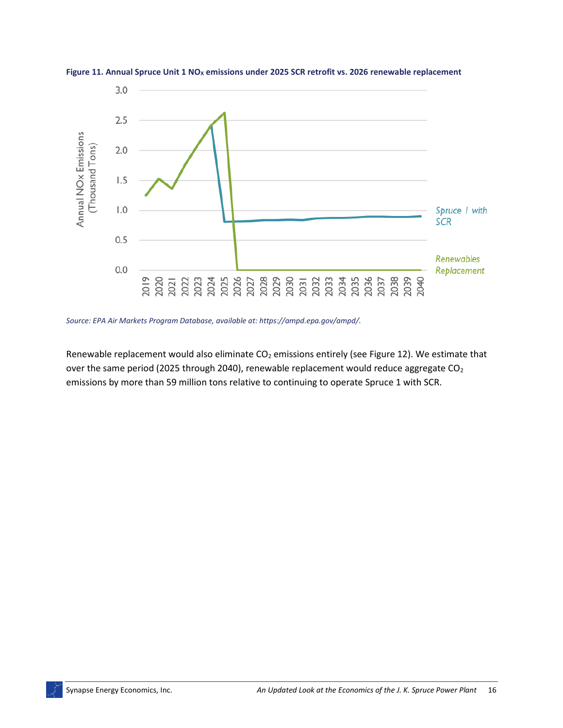

<span id="page-19-0"></span>**Figure 11. Annual Spruce Unit 1 NO<sup>X</sup> emissions under 2025 SCR retrofit vs. 2026 renewable replacement**

*Source: EPA Air Markets Program Database, available at: https://ampd.epa.gov/ampd/.*

Renewable replacement would also eliminate  $CO<sub>2</sub>$  emissions entirely (see [Figure 12\)](#page-20-1). We estimate that over the same period (2025 through 2040), renewable replacement would reduce aggregate CO<sub>2</sub> emissions by more than 59 million tons relative to continuing to operate Spruce 1 with SCR.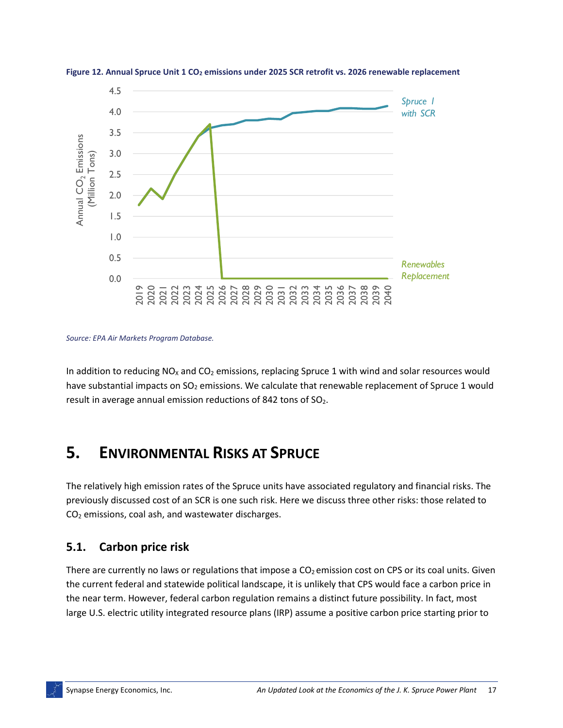

<span id="page-20-1"></span>**Figure 12. Annual Spruce Unit 1 CO<sup>2</sup> emissions under 2025 SCR retrofit vs. 2026 renewable replacement**

*Source: EPA Air Markets Program Database.*

In addition to reducing  $NO<sub>X</sub>$  and  $CO<sub>2</sub>$  emissions, replacing Spruce 1 with wind and solar resources would have substantial impacts on  $SO_2$  emissions. We calculate that renewable replacement of Spruce 1 would result in average annual emission reductions of 842 tons of  $SO<sub>2</sub>$ .

## <span id="page-20-0"></span>**5. ENVIRONMENTAL RISKS AT SPRUCE**

The relatively high emission rates of the Spruce units have associated regulatory and financial risks. The previously discussed cost of an SCR is one such risk. Here we discuss three other risks: those related to CO<sup>2</sup> emissions, coal ash, and wastewater discharges.

### **5.1. Carbon price risk**

There are currently no laws or regulations that impose a  $CO<sub>2</sub>$  emission cost on CPS or its coal units. Given the current federal and statewide political landscape, it is unlikely that CPS would face a carbon price in the near term. However, federal carbon regulation remains a distinct future possibility. In fact, most large U.S. electric utility integrated resource plans (IRP) assume a positive carbon price starting prior to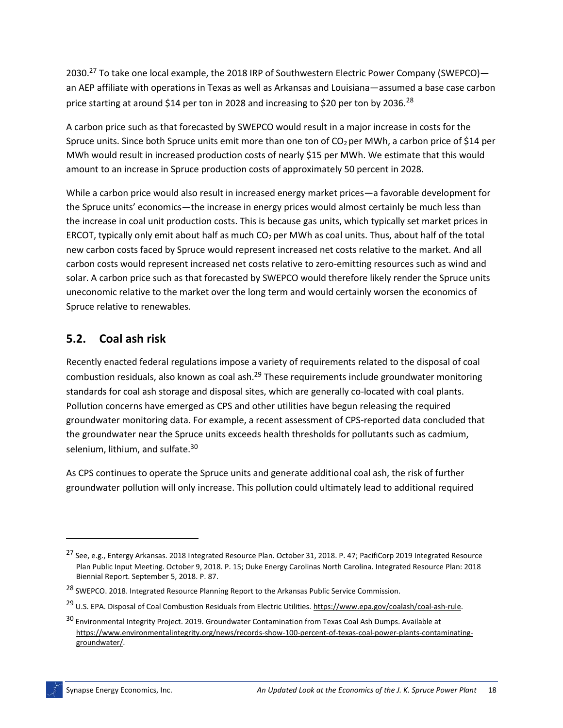2030.<sup>27</sup> To take one local example, the 2018 IRP of Southwestern Electric Power Company (SWEPCO)an AEP affiliate with operations in Texas as well as Arkansas and Louisiana—assumed a base case carbon price starting at around \$14 per ton in 2028 and increasing to \$20 per ton by 2036.<sup>28</sup>

A carbon price such as that forecasted by SWEPCO would result in a major increase in costs for the Spruce units. Since both Spruce units emit more than one ton of  $CO<sub>2</sub>$  per MWh, a carbon price of \$14 per MWh would result in increased production costs of nearly \$15 per MWh. We estimate that this would amount to an increase in Spruce production costs of approximately 50 percent in 2028.

While a carbon price would also result in increased energy market prices—a favorable development for the Spruce units' economics—the increase in energy prices would almost certainly be much less than the increase in coal unit production costs. This is because gas units, which typically set market prices in ERCOT, typically only emit about half as much  $CO<sub>2</sub>$  per MWh as coal units. Thus, about half of the total new carbon costs faced by Spruce would represent increased net costs relative to the market. And all carbon costs would represent increased net costs relative to zero-emitting resources such as wind and solar. A carbon price such as that forecasted by SWEPCO would therefore likely render the Spruce units uneconomic relative to the market over the long term and would certainly worsen the economics of Spruce relative to renewables.

### **5.2. Coal ash risk**

Recently enacted federal regulations impose a variety of requirements related to the disposal of coal combustion residuals, also known as coal ash.<sup>29</sup> These requirements include groundwater monitoring standards for coal ash storage and disposal sites, which are generally co-located with coal plants. Pollution concerns have emerged as CPS and other utilities have begun releasing the required groundwater monitoring data. For example, a recent assessment of CPS-reported data concluded that the groundwater near the Spruce units exceeds health thresholds for pollutants such as cadmium, selenium, lithium, and sulfate.<sup>30</sup>

As CPS continues to operate the Spruce units and generate additional coal ash, the risk of further groundwater pollution will only increase. This pollution could ultimately lead to additional required

<sup>&</sup>lt;sup>27</sup> See, e.g., Entergy Arkansas. 2018 Integrated Resource Plan. October 31, 2018. P. 47; PacifiCorp 2019 Integrated Resource Plan Public Input Meeting. October 9, 2018. P. 15; Duke Energy Carolinas North Carolina. Integrated Resource Plan: 2018 Biennial Report. September 5, 2018. P. 87.

<sup>&</sup>lt;sup>28</sup> SWEPCO. 2018. Integrated Resource Planning Report to the Arkansas Public Service Commission.

<sup>&</sup>lt;sup>29</sup> U.S. EPA. Disposal of Coal Combustion Residuals from Electric Utilities. [https://www.epa.gov/coalash/coal-ash-rule.](https://www.epa.gov/coalash/coal-ash-rule)

<sup>&</sup>lt;sup>30</sup> Environmental Integrity Project. 2019. Groundwater Contamination from Texas Coal Ash Dumps. Available at [https://www.environmentalintegrity.org/news/records-show-100-percent-of-texas-coal-power-plants-contaminating](https://www.environmentalintegrity.org/news/records-show-100-percent-of-texas-coal-power-plants-contaminating-groundwater/)[groundwater/.](https://www.environmentalintegrity.org/news/records-show-100-percent-of-texas-coal-power-plants-contaminating-groundwater/)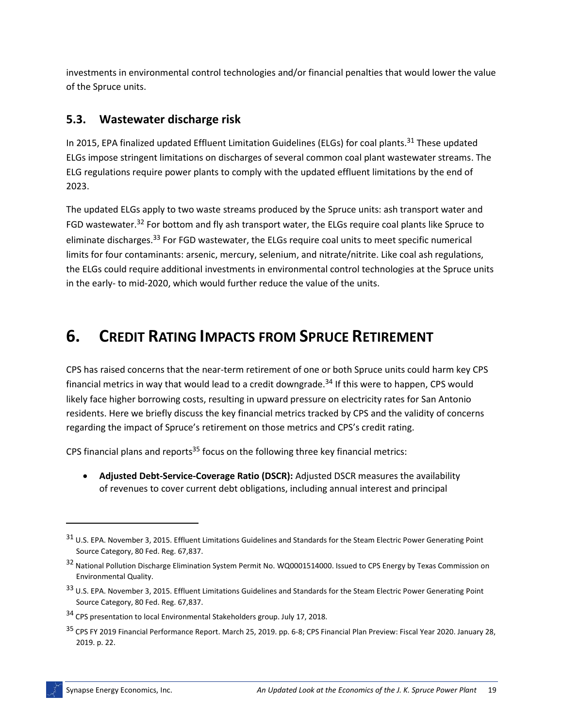investments in environmental control technologies and/or financial penalties that would lower the value of the Spruce units.

### **5.3. Wastewater discharge risk**

In 2015, EPA finalized updated Effluent Limitation Guidelines (ELGs) for coal plants.<sup>31</sup> These updated ELGs impose stringent limitations on discharges of several common coal plant wastewater streams. The ELG regulations require power plants to comply with the updated effluent limitations by the end of 2023.

The updated ELGs apply to two waste streams produced by the Spruce units: ash transport water and FGD wastewater.<sup>32</sup> For bottom and fly ash transport water, the ELGs require coal plants like Spruce to eliminate discharges.<sup>33</sup> For FGD wastewater, the ELGs require coal units to meet specific numerical limits for four contaminants: arsenic, mercury, selenium, and nitrate/nitrite. Like coal ash regulations, the ELGs could require additional investments in environmental control technologies at the Spruce units in the early- to mid-2020, which would further reduce the value of the units.

## <span id="page-22-0"></span>**6. CREDIT RATING IMPACTS FROM SPRUCE RETIREMENT**

CPS has raised concerns that the near-term retirement of one or both Spruce units could harm key CPS financial metrics in way that would lead to a credit downgrade.<sup>34</sup> If this were to happen, CPS would likely face higher borrowing costs, resulting in upward pressure on electricity rates for San Antonio residents. Here we briefly discuss the key financial metrics tracked by CPS and the validity of concerns regarding the impact of Spruce's retirement on those metrics and CPS's credit rating.

CPS financial plans and reports<sup>35</sup> focus on the following three key financial metrics:

• **Adjusted Debt-Service-Coverage Ratio (DSCR):** Adjusted DSCR measures the availability of revenues to cover current debt obligations, including annual interest and principal

l

<sup>31</sup> U.S. EPA. November 3, 2015. Effluent Limitations Guidelines and Standards for the Steam Electric Power Generating Point Source Category, 80 Fed. Reg. 67,837.

<sup>32</sup> National Pollution Discharge Elimination System Permit No. WQ0001514000. Issued to CPS Energy by Texas Commission on Environmental Quality.

<sup>33</sup> U.S. EPA. November 3, 2015. Effluent Limitations Guidelines and Standards for the Steam Electric Power Generating Point Source Category, 80 Fed. Reg. 67,837.

<sup>34</sup> CPS presentation to local Environmental Stakeholders group. July 17, 2018.

<sup>35</sup> CPS FY 2019 Financial Performance Report. March 25, 2019. pp. 6-8; CPS Financial Plan Preview: Fiscal Year 2020. January 28, 2019. p. 22.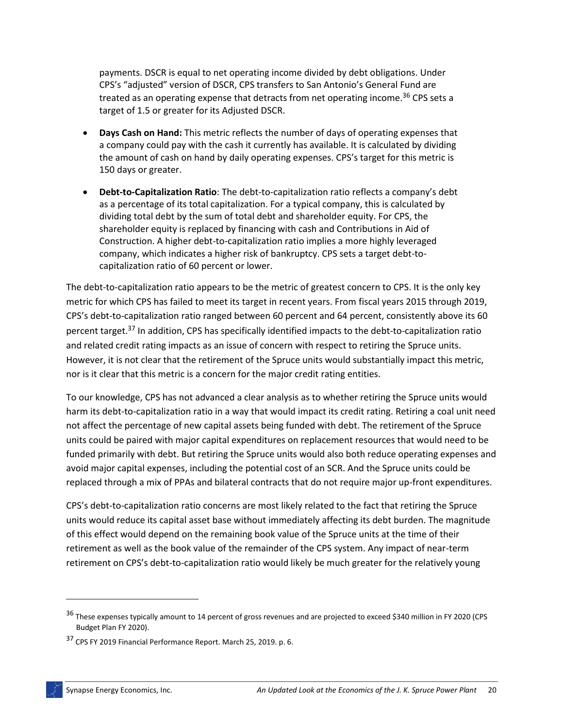payments. DSCR is equal to net operating income divided by debt obligations. Under CPS's "adjusted" version of DSCR, CPS transfers to San Antonio's General Fund are treated as an operating expense that detracts from net operating income.<sup>36</sup> CPS sets a target of 1.5 or greater for its Adjusted DSCR.

- **Days Cash on Hand:** This metric reflects the number of days of operating expenses that a company could pay with the cash it currently has available. It is calculated by dividing the amount of cash on hand by daily operating expenses. CPS's target for this metric is 150 days or greater.
- **Debt-to-Capitalization Ratio**: The debt-to-capitalization ratio reflects a company's debt as a percentage of its total capitalization. For a typical company, this is calculated by dividing total debt by the sum of total debt and shareholder equity. For CPS, the shareholder equity is replaced by financing with cash and Contributions in Aid of Construction. A higher debt-to-capitalization ratio implies a more highly leveraged company, which indicates a higher risk of bankruptcy. CPS sets a target debt-tocapitalization ratio of 60 percent or lower.

The debt-to-capitalization ratio appears to be the metric of greatest concern to CPS. It is the only key metric for which CPS has failed to meet its target in recent years. From fiscal years 2015 through 2019, CPS's debt-to-capitalization ratio ranged between 60 percent and 64 percent, consistently above its 60 percent target.<sup>37</sup> In addition, CPS has specifically identified impacts to the debt-to-capitalization ratio and related credit rating impacts as an issue of concern with respect to retiring the Spruce units. However, it is not clear that the retirement of the Spruce units would substantially impact this metric, nor is it clear that this metric is a concern for the major credit rating entities.

To our knowledge, CPS has not advanced a clear analysis as to whether retiring the Spruce units would harm its debt-to-capitalization ratio in a way that would impact its credit rating. Retiring a coal unit need not affect the percentage of new capital assets being funded with debt. The retirement of the Spruce units could be paired with major capital expenditures on replacement resources that would need to be funded primarily with debt. But retiring the Spruce units would also both reduce operating expenses and avoid major capital expenses, including the potential cost of an SCR. And the Spruce units could be replaced through a mix of PPAs and bilateral contracts that do not require major up-front expenditures.

CPS's debt-to-capitalization ratio concerns are most likely related to the fact that retiring the Spruce units would reduce its capital asset base without immediately affecting its debt burden. The magnitude of this effect would depend on the remaining book value of the Spruce units at the time of their retirement as well as the book value of the remainder of the CPS system. Any impact of near-term retirement on CPS's debt-to-capitalization ratio would likely be much greater for the relatively young

l

<sup>36</sup> These expenses typically amount to 14 percent of gross revenues and are projected to exceed \$340 million in FY 2020 (CPS Budget Plan FY 2020).

<sup>37</sup> CPS FY 2019 Financial Performance Report. March 25, 2019. p. 6.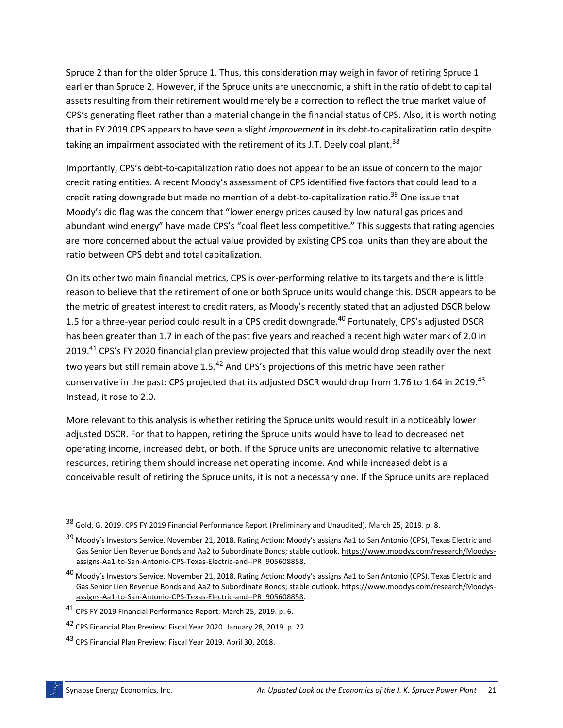Spruce 2 than for the older Spruce 1. Thus, this consideration may weigh in favor of retiring Spruce 1 earlier than Spruce 2. However, if the Spruce units are uneconomic, a shift in the ratio of debt to capital assets resulting from their retirement would merely be a correction to reflect the true market value of CPS's generating fleet rather than a material change in the financial status of CPS. Also, it is worth noting that in FY 2019 CPS appears to have seen a slight *improvement* in its debt-to-capitalization ratio despite taking an impairment associated with the retirement of its J.T. Deely coal plant.<sup>38</sup>

Importantly, CPS's debt-to-capitalization ratio does not appear to be an issue of concern to the major credit rating entities. A recent Moody's assessment of CPS identified five factors that could lead to a credit rating downgrade but made no mention of a debt-to-capitalization ratio.<sup>39</sup> One issue that Moody's did flag was the concern that "lower energy prices caused by low natural gas prices and abundant wind energy" have made CPS's "coal fleet less competitive." This suggests that rating agencies are more concerned about the actual value provided by existing CPS coal units than they are about the ratio between CPS debt and total capitalization.

On its other two main financial metrics, CPS is over-performing relative to its targets and there is little reason to believe that the retirement of one or both Spruce units would change this. DSCR appears to be the metric of greatest interest to credit raters, as Moody's recently stated that an adjusted DSCR below 1.5 for a three-year period could result in a CPS credit downgrade.<sup>40</sup> Fortunately, CPS's adjusted DSCR has been greater than 1.7 in each of the past five years and reached a recent high water mark of 2.0 in 2019.<sup>41</sup> CPS's FY 2020 financial plan preview projected that this value would drop steadily over the next two years but still remain above 1.5.42 And CPS's projections of this metric have been rather conservative in the past: CPS projected that its adjusted DSCR would drop from 1.76 to 1.64 in 2019.<sup>43</sup> Instead, it rose to 2.0.

More relevant to this analysis is whether retiring the Spruce units would result in a noticeably lower adjusted DSCR. For that to happen, retiring the Spruce units would have to lead to decreased net operating income, increased debt, or both. If the Spruce units are uneconomic relative to alternative resources, retiring them should increase net operating income. And while increased debt is a conceivable result of retiring the Spruce units, it is not a necessary one. If the Spruce units are replaced

<sup>38</sup> Gold, G. 2019. CPS FY 2019 Financial Performance Report (Preliminary and Unaudited). March 25, 2019. p. 8.

<sup>&</sup>lt;sup>39</sup> Moody's Investors Service. November 21, 2018. Rating Action: Moody's assigns Aa1 to San Antonio (CPS), Texas Electric and Gas Senior Lien Revenue Bonds and Aa2 to Subordinate Bonds; stable outlook[. https://www.moodys.com/research/Moodys](https://www.moodys.com/research/Moodys-assigns-Aa1-to-San-Antonio-CPS-Texas-Electric-and--PR_905608858)[assigns-Aa1-to-San-Antonio-CPS-Texas-Electric-and--PR\\_905608858.](https://www.moodys.com/research/Moodys-assigns-Aa1-to-San-Antonio-CPS-Texas-Electric-and--PR_905608858)

<sup>&</sup>lt;sup>40</sup> Moody's Investors Service. November 21, 2018. Rating Action: Moody's assigns Aa1 to San Antonio (CPS), Texas Electric and Gas Senior Lien Revenue Bonds and Aa2 to Subordinate Bonds; stable outlook[. https://www.moodys.com/research/Moodys](https://www.moodys.com/research/Moodys-assigns-Aa1-to-San-Antonio-CPS-Texas-Electric-and--PR_905608858)[assigns-Aa1-to-San-Antonio-CPS-Texas-Electric-and--PR\\_905608858.](https://www.moodys.com/research/Moodys-assigns-Aa1-to-San-Antonio-CPS-Texas-Electric-and--PR_905608858)

<sup>41</sup> CPS FY 2019 Financial Performance Report. March 25, 2019. p. 6.

<sup>42</sup> CPS Financial Plan Preview: Fiscal Year 2020. January 28, 2019. p. 22.

<sup>43</sup> CPS Financial Plan Preview: Fiscal Year 2019. April 30, 2018.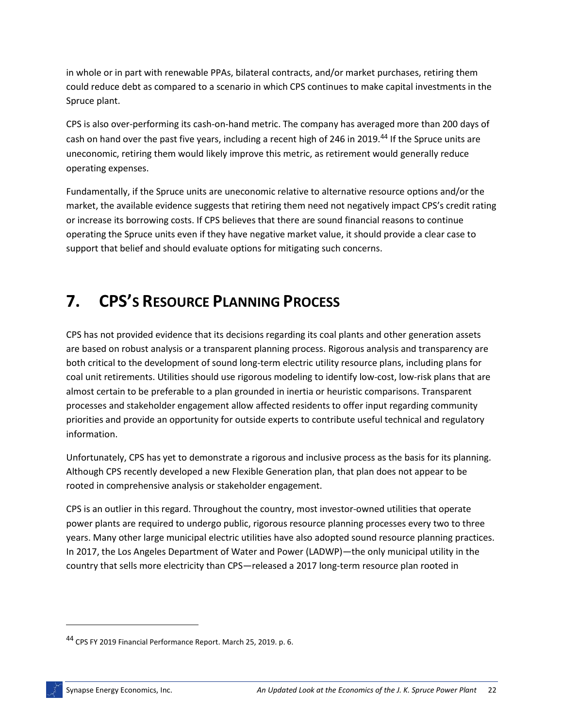in whole or in part with renewable PPAs, bilateral contracts, and/or market purchases, retiring them could reduce debt as compared to a scenario in which CPS continues to make capital investments in the Spruce plant.

CPS is also over-performing its cash-on-hand metric. The company has averaged more than 200 days of cash on hand over the past five years, including a recent high of 246 in 2019.<sup>44</sup> If the Spruce units are uneconomic, retiring them would likely improve this metric, as retirement would generally reduce operating expenses.

Fundamentally, if the Spruce units are uneconomic relative to alternative resource options and/or the market, the available evidence suggests that retiring them need not negatively impact CPS's credit rating or increase its borrowing costs. If CPS believes that there are sound financial reasons to continue operating the Spruce units even if they have negative market value, it should provide a clear case to support that belief and should evaluate options for mitigating such concerns.

## <span id="page-25-0"></span>**7. CPS'S RESOURCE PLANNING PROCESS**

CPS has not provided evidence that its decisions regarding its coal plants and other generation assets are based on robust analysis or a transparent planning process. Rigorous analysis and transparency are both critical to the development of sound long-term electric utility resource plans, including plans for coal unit retirements. Utilities should use rigorous modeling to identify low-cost, low-risk plans that are almost certain to be preferable to a plan grounded in inertia or heuristic comparisons. Transparent processes and stakeholder engagement allow affected residents to offer input regarding community priorities and provide an opportunity for outside experts to contribute useful technical and regulatory information.

Unfortunately, CPS has yet to demonstrate a rigorous and inclusive process as the basis for its planning. Although CPS recently developed a new Flexible Generation plan, that plan does not appear to be rooted in comprehensive analysis or stakeholder engagement.

CPS is an outlier in this regard. Throughout the country, most investor-owned utilities that operate power plants are required to undergo public, rigorous resource planning processes every two to three years. Many other large municipal electric utilities have also adopted sound resource planning practices. In 2017, the Los Angeles Department of Water and Power (LADWP)—the only municipal utility in the country that sells more electricity than CPS—released a 2017 long-term resource plan rooted in

 $\overline{a}$ 

<sup>44</sup> CPS FY 2019 Financial Performance Report. March 25, 2019. p. 6.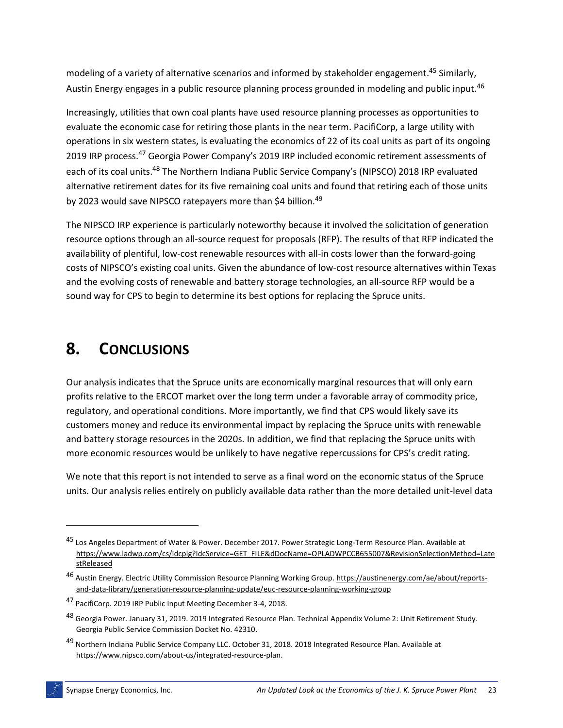modeling of a variety of alternative scenarios and informed by stakeholder engagement. <sup>45</sup> Similarly, Austin Energy engages in a public resource planning process grounded in modeling and public input.<sup>46</sup>

Increasingly, utilities that own coal plants have used resource planning processes as opportunities to evaluate the economic case for retiring those plants in the near term. PacifiCorp, a large utility with operations in six western states, is evaluating the economics of 22 of its coal units as part of its ongoing 2019 IRP process.<sup>47</sup> Georgia Power Company's 2019 IRP included economic retirement assessments of each of its coal units.<sup>48</sup> The Northern Indiana Public Service Company's (NIPSCO) 2018 IRP evaluated alternative retirement dates for its five remaining coal units and found that retiring each of those units by 2023 would save NIPSCO ratepayers more than \$4 billion.<sup>49</sup>

The NIPSCO IRP experience is particularly noteworthy because it involved the solicitation of generation resource options through an all-source request for proposals (RFP). The results of that RFP indicated the availability of plentiful, low-cost renewable resources with all-in costs lower than the forward-going costs of NIPSCO's existing coal units. Given the abundance of low-cost resource alternatives within Texas and the evolving costs of renewable and battery storage technologies, an all-source RFP would be a sound way for CPS to begin to determine its best options for replacing the Spruce units.

## <span id="page-26-0"></span>**8. CONCLUSIONS**

Our analysis indicates that the Spruce units are economically marginal resources that will only earn profits relative to the ERCOT market over the long term under a favorable array of commodity price, regulatory, and operational conditions. More importantly, we find that CPS would likely save its customers money and reduce its environmental impact by replacing the Spruce units with renewable and battery storage resources in the 2020s. In addition, we find that replacing the Spruce units with more economic resources would be unlikely to have negative repercussions for CPS's credit rating.

We note that this report is not intended to serve as a final word on the economic status of the Spruce units. Our analysis relies entirely on publicly available data rather than the more detailed unit-level data

<sup>45</sup> Los Angeles Department of Water & Power. December 2017. Power Strategic Long-Term Resource Plan. Available at [https://www.ladwp.com/cs/idcplg?IdcService=GET\\_FILE&dDocName=OPLADWPCCB655007&RevisionSelectionMethod=Late](https://www.ladwp.com/cs/idcplg?IdcService=GET_FILE&dDocName=OPLADWPCCB655007&RevisionSelectionMethod=LatestReleased) [stReleased](https://www.ladwp.com/cs/idcplg?IdcService=GET_FILE&dDocName=OPLADWPCCB655007&RevisionSelectionMethod=LatestReleased)

<sup>46</sup> Austin Energy. Electric Utility Commission Resource Planning Working Group. [https://austinenergy.com/ae/about/reports](https://austinenergy.com/ae/about/reports-and-data-library/generation-resource-planning-update/euc-resource-planning-working-group)[and-data-library/generation-resource-planning-update/euc-resource-planning-working-group](https://austinenergy.com/ae/about/reports-and-data-library/generation-resource-planning-update/euc-resource-planning-working-group)

<sup>47</sup> PacifiCorp. 2019 IRP Public Input Meeting December 3-4, 2018.

<sup>48</sup> Georgia Power. January 31, 2019. 2019 Integrated Resource Plan. Technical Appendix Volume 2: Unit Retirement Study. Georgia Public Service Commission Docket No. 42310.

<sup>49</sup> Northern Indiana Public Service Company LLC. October 31, 2018. 2018 Integrated Resource Plan. Available at https://www.nipsco.com/about-us/integrated-resource-plan.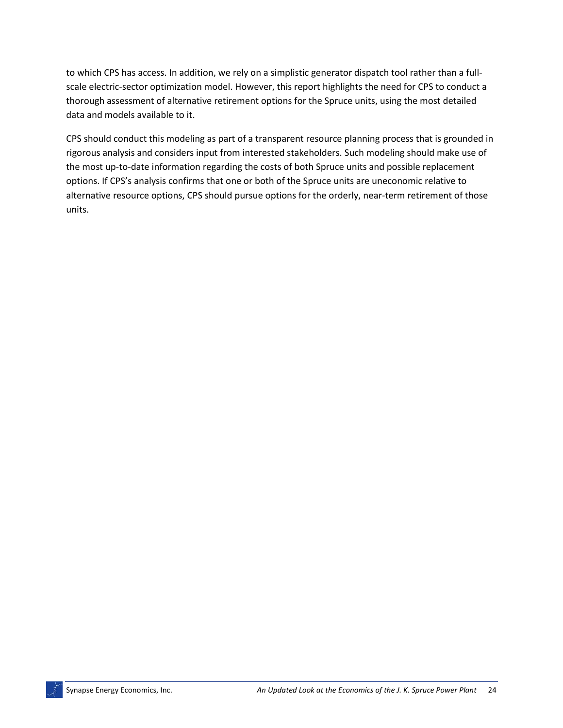to which CPS has access. In addition, we rely on a simplistic generator dispatch tool rather than a fullscale electric-sector optimization model. However, this report highlights the need for CPS to conduct a thorough assessment of alternative retirement options for the Spruce units, using the most detailed data and models available to it.

CPS should conduct this modeling as part of a transparent resource planning process that is grounded in rigorous analysis and considers input from interested stakeholders. Such modeling should make use of the most up-to-date information regarding the costs of both Spruce units and possible replacement options. If CPS's analysis confirms that one or both of the Spruce units are uneconomic relative to alternative resource options, CPS should pursue options for the orderly, near-term retirement of those units.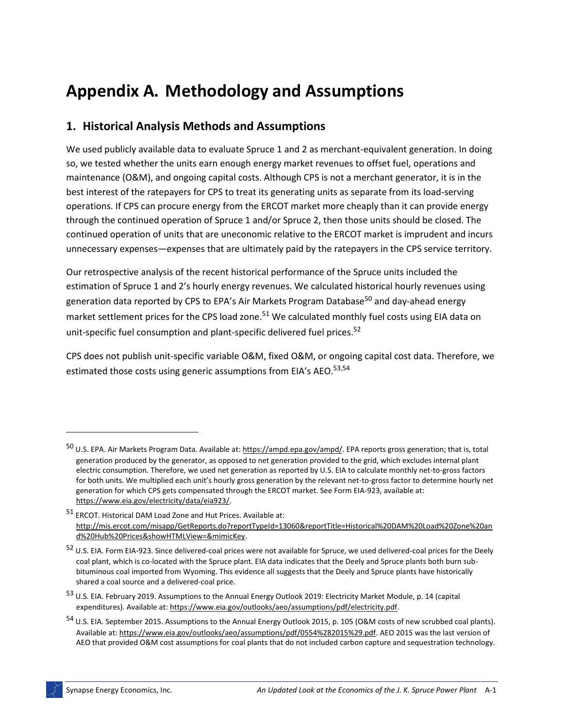## **Appendix A. Methodology and Assumptions**

### **1. Historical Analysis Methods and Assumptions**

We used publicly available data to evaluate Spruce 1 and 2 as merchant-equivalent generation. In doing so, we tested whether the units earn enough energy market revenues to offset fuel, operations and maintenance (O&M), and ongoing capital costs. Although CPS is not a merchant generator, it is in the best interest of the ratepayers for CPS to treat its generating units as separate from its load-serving operations. If CPS can procure energy from the ERCOT market more cheaply than it can provide energy through the continued operation of Spruce 1 and/or Spruce 2, then those units should be closed. The continued operation of units that are uneconomic relative to the ERCOT market is imprudent and incurs unnecessary expenses—expenses that are ultimately paid by the ratepayers in the CPS service territory.

Our retrospective analysis of the recent historical performance of the Spruce units included the estimation of Spruce 1 and 2's hourly energy revenues. We calculated historical hourly revenues using generation data reported by CPS to EPA's Air Markets Program Database<sup>50</sup> and day-ahead energy market settlement prices for the CPS load zone.<sup>51</sup> We calculated monthly fuel costs using EIA data on unit-specific fuel consumption and plant-specific delivered fuel prices.<sup>52</sup>

CPS does not publish unit-specific variable O&M, fixed O&M, or ongoing capital cost data. Therefore, we estimated those costs using generic assumptions from EIA's AEO.<sup>53,54</sup>

<sup>&</sup>lt;sup>50</sup> U.S. EPA. Air Markets Program Data. Available at: [https://ampd.epa.gov/ampd/.](https://ampd.epa.gov/ampd/) EPA reports gross generation; that is, total generation produced by the generator, as opposed to net generation provided to the grid, which excludes internal plant electric consumption. Therefore, we used net generation as reported by U.S. EIA to calculate monthly net-to-gross factors for both units. We multiplied each unit's hourly gross generation by the relevant net-to-gross factor to determine hourly net generation for which CPS gets compensated through the ERCOT market. See Form EIA-923, available at: [https://www.eia.gov/electricity/data/eia923/.](https://www.eia.gov/electricity/data/eia923/)

<sup>51</sup> ERCOT. Historical DAM Load Zone and Hut Prices. Available at: [http://mis.ercot.com/misapp/GetReports.do?reportTypeId=13060&reportTitle=Historical%20DAM%20Load%20Zone%20an](http://mis.ercot.com/misapp/GetReports.do?reportTypeId=13060&reportTitle=Historical%20DAM%20Load%20Zone%20and%20Hub%20Prices&showHTMLView=&mimicKey) [d%20Hub%20Prices&showHTMLView=&mimicKey.](http://mis.ercot.com/misapp/GetReports.do?reportTypeId=13060&reportTitle=Historical%20DAM%20Load%20Zone%20and%20Hub%20Prices&showHTMLView=&mimicKey)

<sup>52</sup> U.S. EIA. Form EIA-923. Since delivered-coal prices were not available for Spruce, we used delivered-coal prices for the Deely coal plant, which is co-located with the Spruce plant. EIA data indicates that the Deely and Spruce plants both burn subbituminous coal imported from Wyoming. This evidence all suggests that the Deely and Spruce plants have historically shared a coal source and a delivered-coal price.

<sup>53</sup> U.S. EIA. February 2019. Assumptions to the Annual Energy Outlook 2019: Electricity Market Module, p. 14 (capital expenditures). Available at: [https://www.eia.gov/outlooks/aeo/assumptions/pdf/electricity.pdf.](https://www.eia.gov/outlooks/aeo/assumptions/pdf/electricity.pdf)

<sup>54</sup> U.S. EIA. September 2015. Assumptions to the Annual Energy Outlook 2015, p. 105 (O&M costs of new scrubbed coal plants). Available at: [https://www.eia.gov/outlooks/aeo/assumptions/pdf/0554%282015%29.pdf.](https://www.eia.gov/outlooks/aeo/assumptions/pdf/0554%282015%29.pdf) AEO 2015 was the last version of AEO that provided O&M cost assumptions for coal plants that do not included carbon capture and sequestration technology.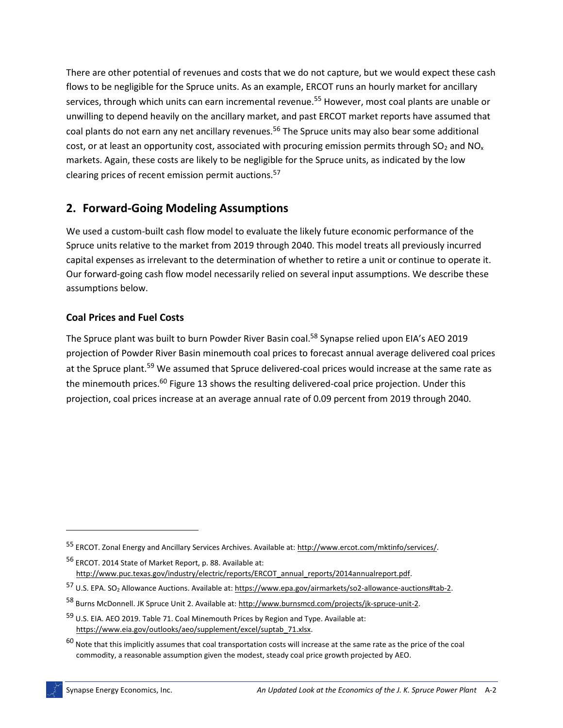There are other potential of revenues and costs that we do not capture, but we would expect these cash flows to be negligible for the Spruce units. As an example, ERCOT runs an hourly market for ancillary services, through which units can earn incremental revenue.<sup>55</sup> However, most coal plants are unable or unwilling to depend heavily on the ancillary market, and past ERCOT market reports have assumed that coal plants do not earn any net ancillary revenues.<sup>56</sup> The Spruce units may also bear some additional cost, or at least an opportunity cost, associated with procuring emission permits through SO<sub>2</sub> and NO<sub>x</sub> markets. Again, these costs are likely to be negligible for the Spruce units, as indicated by the low clearing prices of recent emission permit auctions.<sup>57</sup>

### **2. Forward-Going Modeling Assumptions**

We used a custom-built cash flow model to evaluate the likely future economic performance of the Spruce units relative to the market from 2019 through 2040. This model treats all previously incurred capital expenses as irrelevant to the determination of whether to retire a unit or continue to operate it. Our forward-going cash flow model necessarily relied on several input assumptions. We describe these assumptions below.

### **Coal Prices and Fuel Costs**

The Spruce plant was built to burn Powder River Basin coal.<sup>58</sup> Synapse relied upon EIA's AEO 2019 projection of Powder River Basin minemouth coal prices to forecast annual average delivered coal prices at the Spruce plant.<sup>59</sup> We assumed that Spruce delivered-coal prices would increase at the same rate as the minemouth prices.<sup>60</sup> [Figure 13](#page-30-0) shows the resulting delivered-coal price projection. Under this projection, coal prices increase at an average annual rate of 0.09 percent from 2019 through 2040.

<sup>55</sup> ERCOT. Zonal Energy and Ancillary Services Archives. Available at[: http://www.ercot.com/mktinfo/services/.](http://www.ercot.com/mktinfo/services/)

<sup>56</sup> ERCOT. 2014 State of Market Report, p. 88. Available at: [http://www.puc.texas.gov/industry/electric/reports/ERCOT\\_annual\\_reports/2014annualreport.pdf.](http://www.puc.texas.gov/industry/electric/reports/ERCOT_annual_reports/2014annualreport.pdf)

<sup>57</sup> U.S. EPA. SO<sup>2</sup> Allowance Auctions. Available at[: https://www.epa.gov/airmarkets/so2-allowance-auctions#tab-2.](https://www.epa.gov/airmarkets/so2-allowance-auctions#tab-2)

<sup>58</sup> Burns McDonnell. JK Spruce Unit 2. Available at[: http://www.burnsmcd.com/projects/jk-spruce-unit-2.](http://www.burnsmcd.com/projects/jk-spruce-unit-2)

<sup>59</sup> U.S. EIA. AEO 2019. Table 71. Coal Minemouth Prices by Region and Type. Available at: [https://www.eia.gov/outlooks/aeo/supplement/excel/suptab\\_71.xlsx.](https://www.eia.gov/outlooks/aeo/supplement/excel/suptab_71.xlsx)

 $60$  Note that this implicitly assumes that coal transportation costs will increase at the same rate as the price of the coal commodity, a reasonable assumption given the modest, steady coal price growth projected by AEO.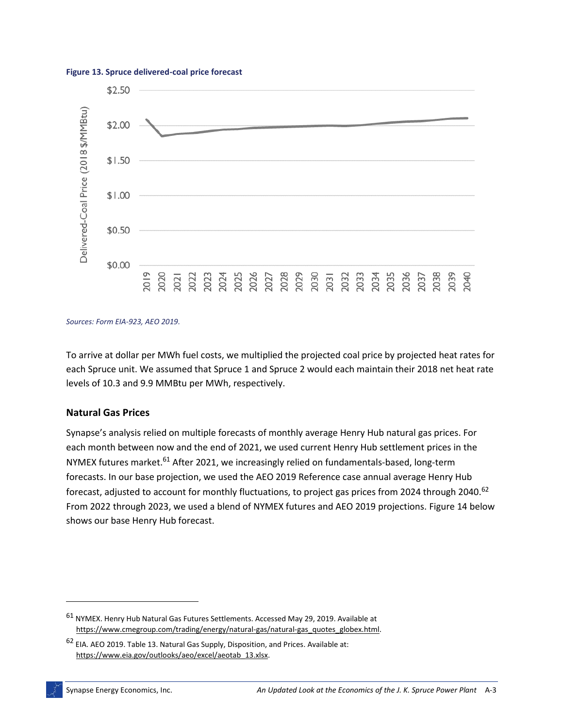

#### <span id="page-30-0"></span>**Figure 13. Spruce delivered-coal price forecast**

*Sources: Form EIA-923, AEO 2019.*

To arrive at dollar per MWh fuel costs, we multiplied the projected coal price by projected heat rates for each Spruce unit. We assumed that Spruce 1 and Spruce 2 would each maintain their 2018 net heat rate levels of 10.3 and 9.9 MMBtu per MWh, respectively.

#### **Natural Gas Prices**

Synapse's analysis relied on multiple forecasts of monthly average Henry Hub natural gas prices. For each month between now and the end of 2021, we used current Henry Hub settlement prices in the NYMEX futures market.<sup>61</sup> After 2021, we increasingly relied on fundamentals-based, long-term forecasts. In our base projection, we used the AEO 2019 Reference case annual average Henry Hub forecast, adjusted to account for monthly fluctuations, to project gas prices from 2024 through 2040.<sup>62</sup> From 2022 through 2023, we used a blend of NYMEX futures and AEO 2019 projections[. Figure 14](#page-31-0) below shows our base Henry Hub forecast.

<sup>61</sup> NYMEX. Henry Hub Natural Gas Futures Settlements. Accessed May 29, 2019. Available at [https://www.cmegroup.com/trading/energy/natural-gas/natural-gas\\_quotes\\_globex.html.](https://www.cmegroup.com/trading/energy/natural-gas/natural-gas_quotes_globex.html)

<sup>62</sup> EIA. AEO 2019. Table 13. Natural Gas Supply, Disposition, and Prices. Available at: [https://www.eia.gov/outlooks/aeo/excel/aeotab\\_13.xlsx.](https://www.eia.gov/outlooks/aeo/excel/aeotab_13.xlsx)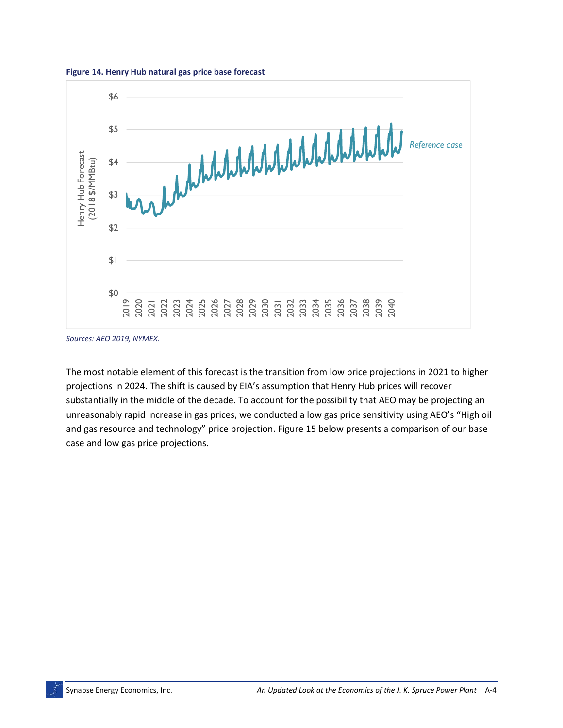<span id="page-31-0"></span>



*Sources: AEO 2019, NYMEX.*

The most notable element of this forecast is the transition from low price projections in 2021 to higher projections in 2024. The shift is caused by EIA's assumption that Henry Hub prices will recover substantially in the middle of the decade. To account for the possibility that AEO may be projecting an unreasonably rapid increase in gas prices, we conducted a low gas price sensitivity using AEO's "High oil and gas resource and technology" price projection. [Figure 15](#page-32-0) below presents a comparison of our base case and low gas price projections.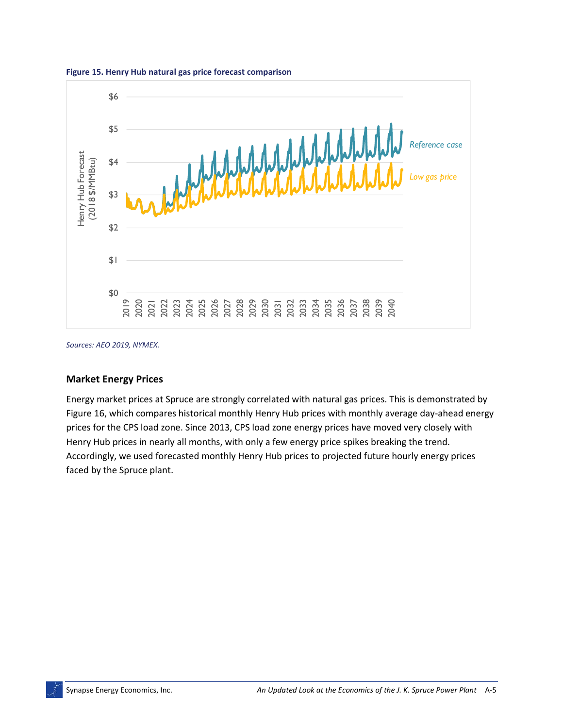

<span id="page-32-0"></span>**Figure 15. Henry Hub natural gas price forecast comparison**

*Sources: AEO 2019, NYMEX.*

#### **Market Energy Prices**

Energy market prices at Spruce are strongly correlated with natural gas prices. This is demonstrated by [Figure 16,](#page-33-0) which compares historical monthly Henry Hub prices with monthly average day-ahead energy prices for the CPS load zone. Since 2013, CPS load zone energy prices have moved very closely with Henry Hub prices in nearly all months, with only a few energy price spikes breaking the trend. Accordingly, we used forecasted monthly Henry Hub prices to projected future hourly energy prices faced by the Spruce plant.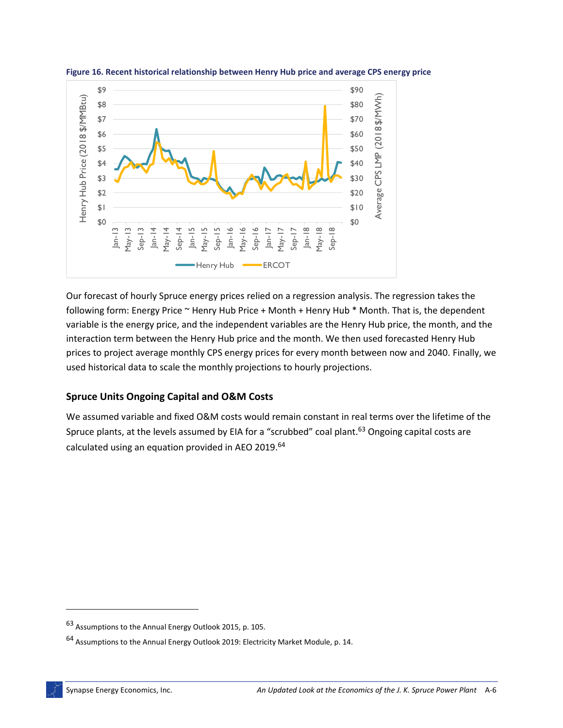

<span id="page-33-0"></span>**Figure 16. Recent historical relationship between Henry Hub price and average CPS energy price**

Our forecast of hourly Spruce energy prices relied on a regression analysis. The regression takes the following form: Energy Price  $\sim$  Henry Hub Price + Month + Henry Hub  $*$  Month. That is, the dependent variable is the energy price, and the independent variables are the Henry Hub price, the month, and the interaction term between the Henry Hub price and the month. We then used forecasted Henry Hub prices to project average monthly CPS energy prices for every month between now and 2040. Finally, we used historical data to scale the monthly projections to hourly projections.

#### **Spruce Units Ongoing Capital and O&M Costs**

We assumed variable and fixed O&M costs would remain constant in real terms over the lifetime of the Spruce plants, at the levels assumed by EIA for a "scrubbed" coal plant.<sup>63</sup> Ongoing capital costs are calculated using an equation provided in AEO 2019.<sup>64</sup>

<sup>63</sup> Assumptions to the Annual Energy Outlook 2015, p. 105.

<sup>64</sup> Assumptions to the Annual Energy Outlook 2019: Electricity Market Module, p. 14.